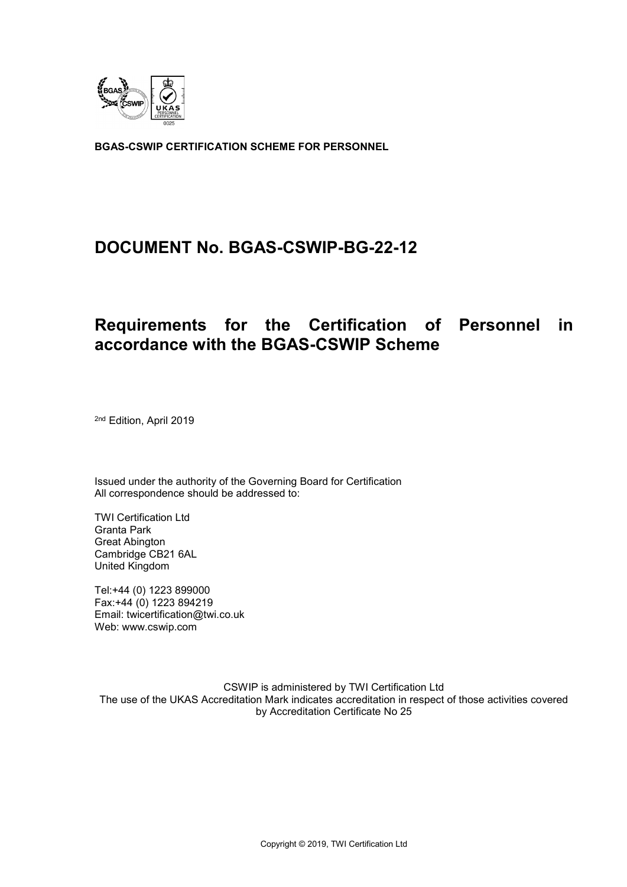

**BGAS-CSWIP CERTIFICATION SCHEME FOR PERSONNEL**

# **DOCUMENT No. BGAS-CSWIP-BG-22-12**

# **Requirements for the Certification of Personnel in accordance with the BGAS-CSWIP Scheme**

2nd Edition, April 2019

Issued under the authority of the Governing Board for Certification All correspondence should be addressed to:

TWI Certification Ltd Granta Park Great Abington Cambridge CB21 6AL United Kingdom

Tel:+44 (0) 1223 899000 Fax:+44 (0) 1223 894219 Email: twicertification@twi.co.uk Web: www.cswip.com

CSWIP is administered by TWI Certification Ltd The use of the UKAS Accreditation Mark indicates accreditation in respect of those activities covered by Accreditation Certificate No 25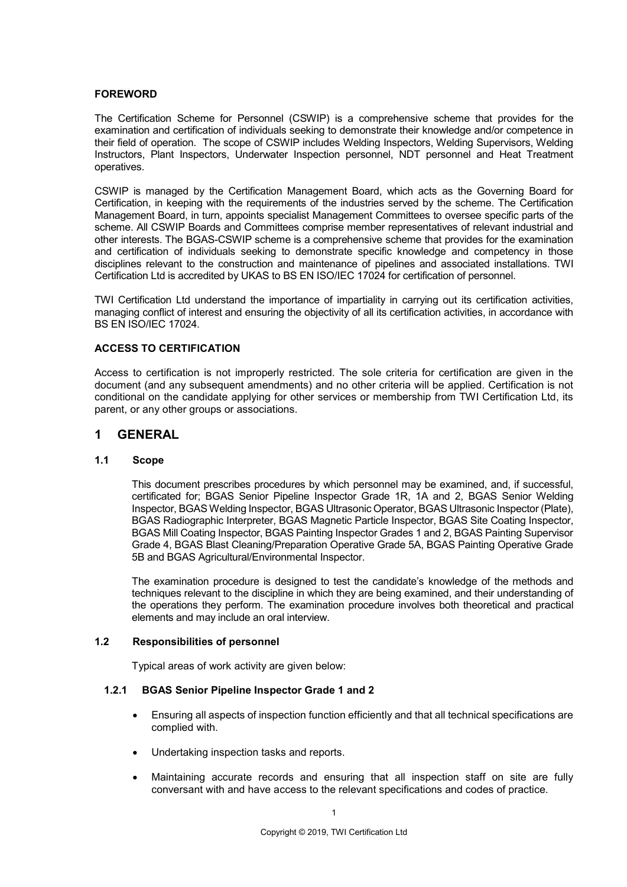#### **FOREWORD**

The Certification Scheme for Personnel (CSWIP) is a comprehensive scheme that provides for the examination and certification of individuals seeking to demonstrate their knowledge and/or competence in their field of operation. The scope of CSWIP includes Welding Inspectors, Welding Supervisors, Welding Instructors, Plant Inspectors, Underwater Inspection personnel, NDT personnel and Heat Treatment operatives.

CSWIP is managed by the Certification Management Board, which acts as the Governing Board for Certification, in keeping with the requirements of the industries served by the scheme. The Certification Management Board, in turn, appoints specialist Management Committees to oversee specific parts of the scheme. All CSWIP Boards and Committees comprise member representatives of relevant industrial and other interests. The BGAS-CSWIP scheme is a comprehensive scheme that provides for the examination and certification of individuals seeking to demonstrate specific knowledge and competency in those disciplines relevant to the construction and maintenance of pipelines and associated installations. TWI Certification Ltd is accredited by UKAS to BS EN ISO/IEC 17024 for certification of personnel.

TWI Certification Ltd understand the importance of impartiality in carrying out its certification activities, managing conflict of interest and ensuring the objectivity of all its certification activities, in accordance with BS EN ISO/IEC 17024.

#### **ACCESS TO CERTIFICATION**

Access to certification is not improperly restricted. The sole criteria for certification are given in the document (and any subsequent amendments) and no other criteria will be applied. Certification is not conditional on the candidate applying for other services or membership from TWI Certification Ltd, its parent, or any other groups or associations.

### **1 GENERAL**

#### **1.1 Scope**

This document prescribes procedures by which personnel may be examined, and, if successful, certificated for; BGAS Senior Pipeline Inspector Grade 1R, 1A and 2, BGAS Senior Welding Inspector, BGAS Welding Inspector, BGAS Ultrasonic Operator, BGAS Ultrasonic Inspector (Plate), BGAS Radiographic Interpreter, BGAS Magnetic Particle Inspector, BGAS Site Coating Inspector, BGAS Mill Coating Inspector, BGAS Painting Inspector Grades 1 and 2, BGAS Painting Supervisor Grade 4, BGAS Blast Cleaning/Preparation Operative Grade 5A, BGAS Painting Operative Grade 5B and BGAS Agricultural/Environmental Inspector.

The examination procedure is designed to test the candidate's knowledge of the methods and techniques relevant to the discipline in which they are being examined, and their understanding of the operations they perform. The examination procedure involves both theoretical and practical elements and may include an oral interview.

#### **1.2 Responsibilities of personnel**

Typical areas of work activity are given below:

#### **1.2.1 BGAS Senior Pipeline Inspector Grade 1 and 2**

- Ensuring all aspects of inspection function efficiently and that all technical specifications are complied with.
- Undertaking inspection tasks and reports.
- Maintaining accurate records and ensuring that all inspection staff on site are fully conversant with and have access to the relevant specifications and codes of practice.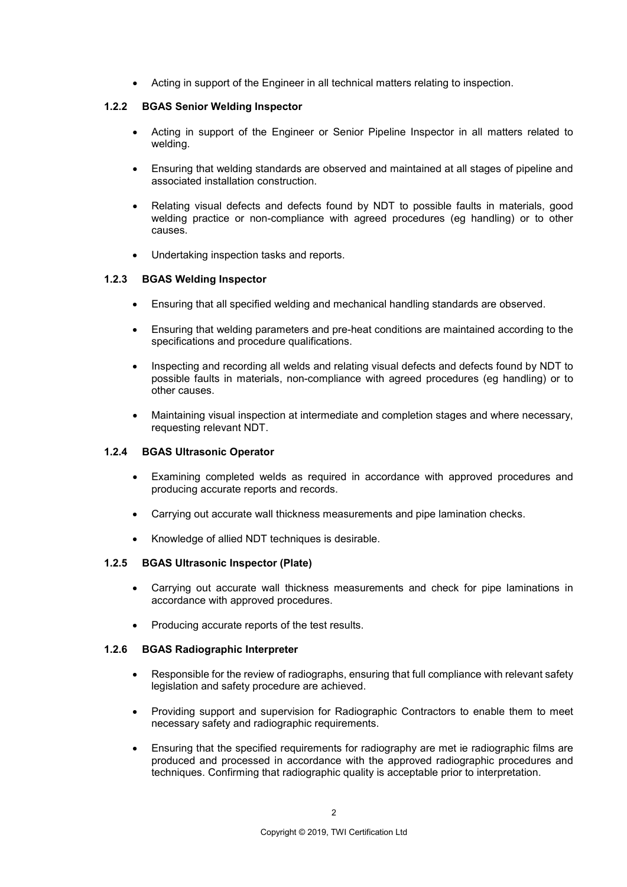• Acting in support of the Engineer in all technical matters relating to inspection.

#### **1.2.2 BGAS Senior Welding Inspector**

- Acting in support of the Engineer or Senior Pipeline Inspector in all matters related to welding.
- Ensuring that welding standards are observed and maintained at all stages of pipeline and associated installation construction.
- Relating visual defects and defects found by NDT to possible faults in materials, good welding practice or non-compliance with agreed procedures (eg handling) or to other causes.
- Undertaking inspection tasks and reports.

#### **1.2.3 BGAS Welding Inspector**

- Ensuring that all specified welding and mechanical handling standards are observed.
- Ensuring that welding parameters and pre-heat conditions are maintained according to the specifications and procedure qualifications.
- Inspecting and recording all welds and relating visual defects and defects found by NDT to possible faults in materials, non-compliance with agreed procedures (eg handling) or to other causes.
- Maintaining visual inspection at intermediate and completion stages and where necessary, requesting relevant NDT.

#### **1.2.4 BGAS Ultrasonic Operator**

- Examining completed welds as required in accordance with approved procedures and producing accurate reports and records.
- Carrying out accurate wall thickness measurements and pipe lamination checks.
- Knowledge of allied NDT techniques is desirable.

#### **1.2.5 BGAS Ultrasonic Inspector (Plate)**

- Carrying out accurate wall thickness measurements and check for pipe laminations in accordance with approved procedures.
- Producing accurate reports of the test results.

#### **1.2.6 BGAS Radiographic Interpreter**

- Responsible for the review of radiographs, ensuring that full compliance with relevant safety legislation and safety procedure are achieved.
- Providing support and supervision for Radiographic Contractors to enable them to meet necessary safety and radiographic requirements.
- Ensuring that the specified requirements for radiography are met ie radiographic films are produced and processed in accordance with the approved radiographic procedures and techniques. Confirming that radiographic quality is acceptable prior to interpretation.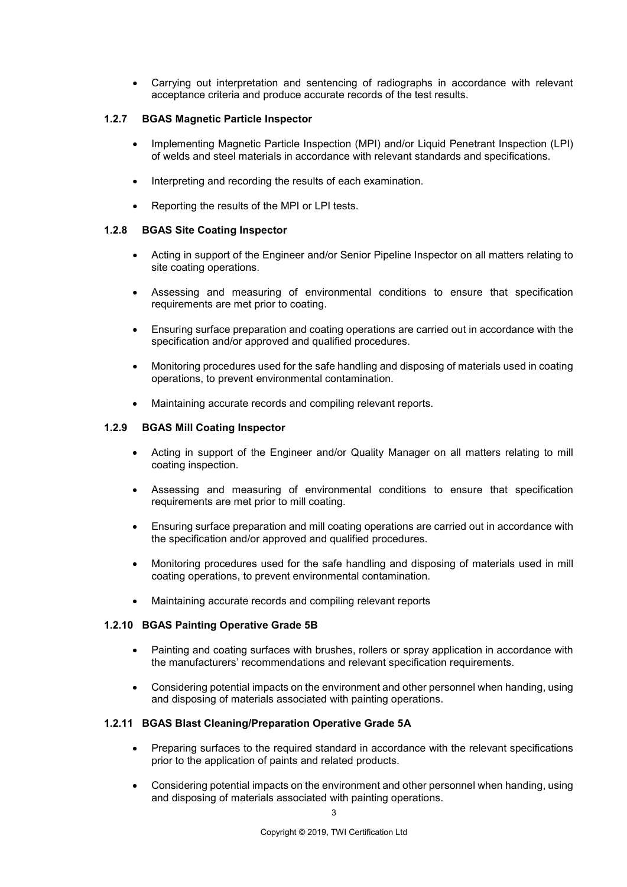• Carrying out interpretation and sentencing of radiographs in accordance with relevant acceptance criteria and produce accurate records of the test results.

#### **1.2.7 BGAS Magnetic Particle Inspector**

- Implementing Magnetic Particle Inspection (MPI) and/or Liquid Penetrant Inspection (LPI) of welds and steel materials in accordance with relevant standards and specifications.
- Interpreting and recording the results of each examination.
- Reporting the results of the MPI or LPI tests.

#### **1.2.8 BGAS Site Coating Inspector**

- Acting in support of the Engineer and/or Senior Pipeline Inspector on all matters relating to site coating operations.
- Assessing and measuring of environmental conditions to ensure that specification requirements are met prior to coating.
- Ensuring surface preparation and coating operations are carried out in accordance with the specification and/or approved and qualified procedures.
- Monitoring procedures used for the safe handling and disposing of materials used in coating operations, to prevent environmental contamination.
- Maintaining accurate records and compiling relevant reports.

#### **1.2.9 BGAS Mill Coating Inspector**

- Acting in support of the Engineer and/or Quality Manager on all matters relating to mill coating inspection.
- Assessing and measuring of environmental conditions to ensure that specification requirements are met prior to mill coating.
- Ensuring surface preparation and mill coating operations are carried out in accordance with the specification and/or approved and qualified procedures.
- Monitoring procedures used for the safe handling and disposing of materials used in mill coating operations, to prevent environmental contamination.
- Maintaining accurate records and compiling relevant reports

#### **1.2.10 BGAS Painting Operative Grade 5B**

- Painting and coating surfaces with brushes, rollers or spray application in accordance with the manufacturers' recommendations and relevant specification requirements.
- Considering potential impacts on the environment and other personnel when handing, using and disposing of materials associated with painting operations.

#### **1.2.11 BGAS Blast Cleaning/Preparation Operative Grade 5A**

- Preparing surfaces to the required standard in accordance with the relevant specifications prior to the application of paints and related products.
- Considering potential impacts on the environment and other personnel when handing, using and disposing of materials associated with painting operations.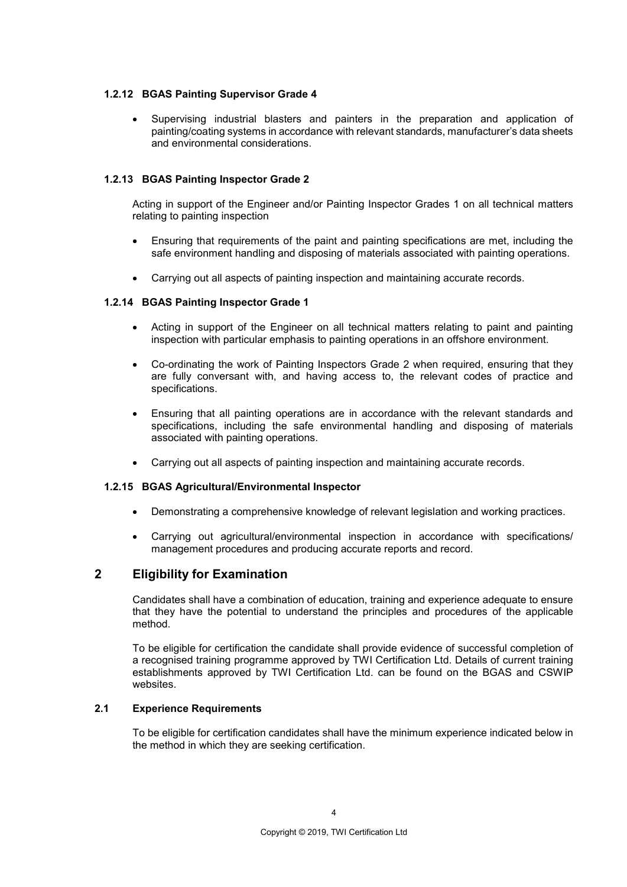#### **1.2.12 BGAS Painting Supervisor Grade 4**

• Supervising industrial blasters and painters in the preparation and application of painting/coating systems in accordance with relevant standards, manufacturer's data sheets and environmental considerations.

#### **1.2.13 BGAS Painting Inspector Grade 2**

Acting in support of the Engineer and/or Painting Inspector Grades 1 on all technical matters relating to painting inspection

- Ensuring that requirements of the paint and painting specifications are met, including the safe environment handling and disposing of materials associated with painting operations.
- Carrying out all aspects of painting inspection and maintaining accurate records.

#### **1.2.14 BGAS Painting Inspector Grade 1**

- Acting in support of the Engineer on all technical matters relating to paint and painting inspection with particular emphasis to painting operations in an offshore environment.
- Co-ordinating the work of Painting Inspectors Grade 2 when required, ensuring that they are fully conversant with, and having access to, the relevant codes of practice and specifications.
- Ensuring that all painting operations are in accordance with the relevant standards and specifications, including the safe environmental handling and disposing of materials associated with painting operations.
- Carrying out all aspects of painting inspection and maintaining accurate records.

#### **1.2.15 BGAS Agricultural/Environmental Inspector**

- Demonstrating a comprehensive knowledge of relevant legislation and working practices.
- Carrying out agricultural/environmental inspection in accordance with specifications/ management procedures and producing accurate reports and record.

## **2 Eligibility for Examination**

Candidates shall have a combination of education, training and experience adequate to ensure that they have the potential to understand the principles and procedures of the applicable method.

To be eligible for certification the candidate shall provide evidence of successful completion of a recognised training programme approved by TWI Certification Ltd. Details of current training establishments approved by TWI Certification Ltd. can be found on the BGAS and CSWIP websites.

#### **2.1 Experience Requirements**

To be eligible for certification candidates shall have the minimum experience indicated below in the method in which they are seeking certification.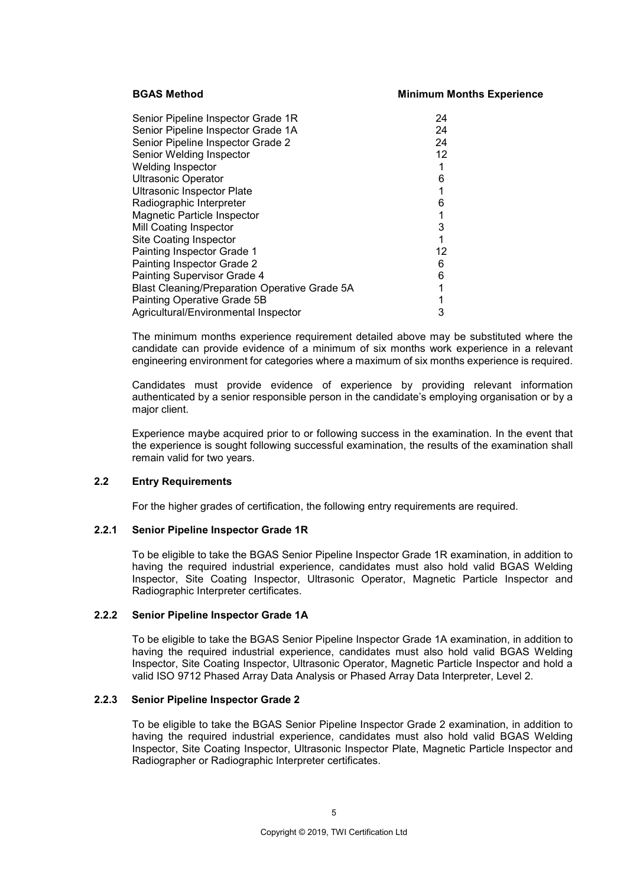#### **BGAS Method Minimum Months Experience**

| Senior Pipeline Inspector Grade 1R                   | 24              |
|------------------------------------------------------|-----------------|
| Senior Pipeline Inspector Grade 1A                   | 24              |
| Senior Pipeline Inspector Grade 2                    | 24              |
| Senior Welding Inspector                             | 12 <sup>°</sup> |
| <b>Welding Inspector</b>                             |                 |
| <b>Ultrasonic Operator</b>                           | 6               |
| <b>Ultrasonic Inspector Plate</b>                    |                 |
| Radiographic Interpreter                             | 6               |
| Magnetic Particle Inspector                          |                 |
| Mill Coating Inspector                               | 3               |
| Site Coating Inspector                               |                 |
| Painting Inspector Grade 1                           | 12              |
| Painting Inspector Grade 2                           | 6               |
| Painting Supervisor Grade 4                          | 6               |
| <b>Blast Cleaning/Preparation Operative Grade 5A</b> | 1               |
| Painting Operative Grade 5B                          |                 |
| Agricultural/Environmental Inspector                 | 3               |

The minimum months experience requirement detailed above may be substituted where the candidate can provide evidence of a minimum of six months work experience in a relevant engineering environment for categories where a maximum of six months experience is required.

Candidates must provide evidence of experience by providing relevant information authenticated by a senior responsible person in the candidate's employing organisation or by a major client.

Experience maybe acquired prior to or following success in the examination. In the event that the experience is sought following successful examination, the results of the examination shall remain valid for two years.

#### **2.2 Entry Requirements**

For the higher grades of certification, the following entry requirements are required.

#### **2.2.1 Senior Pipeline Inspector Grade 1R**

To be eligible to take the BGAS Senior Pipeline Inspector Grade 1R examination, in addition to having the required industrial experience, candidates must also hold valid BGAS Welding Inspector, Site Coating Inspector, Ultrasonic Operator, Magnetic Particle Inspector and Radiographic Interpreter certificates.

#### **2.2.2 Senior Pipeline Inspector Grade 1A**

To be eligible to take the BGAS Senior Pipeline Inspector Grade 1A examination, in addition to having the required industrial experience, candidates must also hold valid BGAS Welding Inspector, Site Coating Inspector, Ultrasonic Operator, Magnetic Particle Inspector and hold a valid ISO 9712 Phased Array Data Analysis or Phased Array Data Interpreter, Level 2.

#### **2.2.3 Senior Pipeline Inspector Grade 2**

To be eligible to take the BGAS Senior Pipeline Inspector Grade 2 examination, in addition to having the required industrial experience, candidates must also hold valid BGAS Welding Inspector, Site Coating Inspector, Ultrasonic Inspector Plate, Magnetic Particle Inspector and Radiographer or Radiographic Interpreter certificates.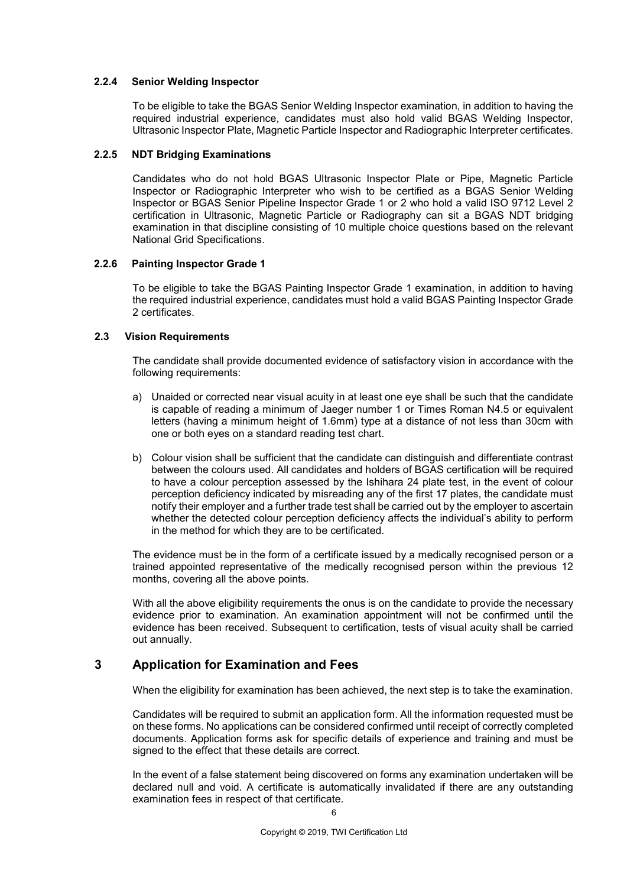#### **2.2.4 Senior Welding Inspector**

To be eligible to take the BGAS Senior Welding Inspector examination, in addition to having the required industrial experience, candidates must also hold valid BGAS Welding Inspector, Ultrasonic Inspector Plate, Magnetic Particle Inspector and Radiographic Interpreter certificates.

#### **2.2.5 NDT Bridging Examinations**

Candidates who do not hold BGAS Ultrasonic Inspector Plate or Pipe, Magnetic Particle Inspector or Radiographic Interpreter who wish to be certified as a BGAS Senior Welding Inspector or BGAS Senior Pipeline Inspector Grade 1 or 2 who hold a valid ISO 9712 Level 2 certification in Ultrasonic, Magnetic Particle or Radiography can sit a BGAS NDT bridging examination in that discipline consisting of 10 multiple choice questions based on the relevant National Grid Specifications.

#### **2.2.6 Painting Inspector Grade 1**

To be eligible to take the BGAS Painting Inspector Grade 1 examination, in addition to having the required industrial experience, candidates must hold a valid BGAS Painting Inspector Grade 2 certificates.

#### **2.3 Vision Requirements**

The candidate shall provide documented evidence of satisfactory vision in accordance with the following requirements:

- a) Unaided or corrected near visual acuity in at least one eye shall be such that the candidate is capable of reading a minimum of Jaeger number 1 or Times Roman N4.5 or equivalent letters (having a minimum height of 1.6mm) type at a distance of not less than 30cm with one or both eyes on a standard reading test chart.
- b) Colour vision shall be sufficient that the candidate can distinguish and differentiate contrast between the colours used. All candidates and holders of BGAS certification will be required to have a colour perception assessed by the Ishihara 24 plate test, in the event of colour perception deficiency indicated by misreading any of the first 17 plates, the candidate must notify their employer and a further trade test shall be carried out by the employer to ascertain whether the detected colour perception deficiency affects the individual's ability to perform in the method for which they are to be certificated.

The evidence must be in the form of a certificate issued by a medically recognised person or a trained appointed representative of the medically recognised person within the previous 12 months, covering all the above points.

With all the above eligibility requirements the onus is on the candidate to provide the necessary evidence prior to examination. An examination appointment will not be confirmed until the evidence has been received. Subsequent to certification, tests of visual acuity shall be carried out annually.

## **3 Application for Examination and Fees**

When the eligibility for examination has been achieved, the next step is to take the examination.

Candidates will be required to submit an application form. All the information requested must be on these forms. No applications can be considered confirmed until receipt of correctly completed documents. Application forms ask for specific details of experience and training and must be signed to the effect that these details are correct.

In the event of a false statement being discovered on forms any examination undertaken will be declared null and void. A certificate is automatically invalidated if there are any outstanding examination fees in respect of that certificate.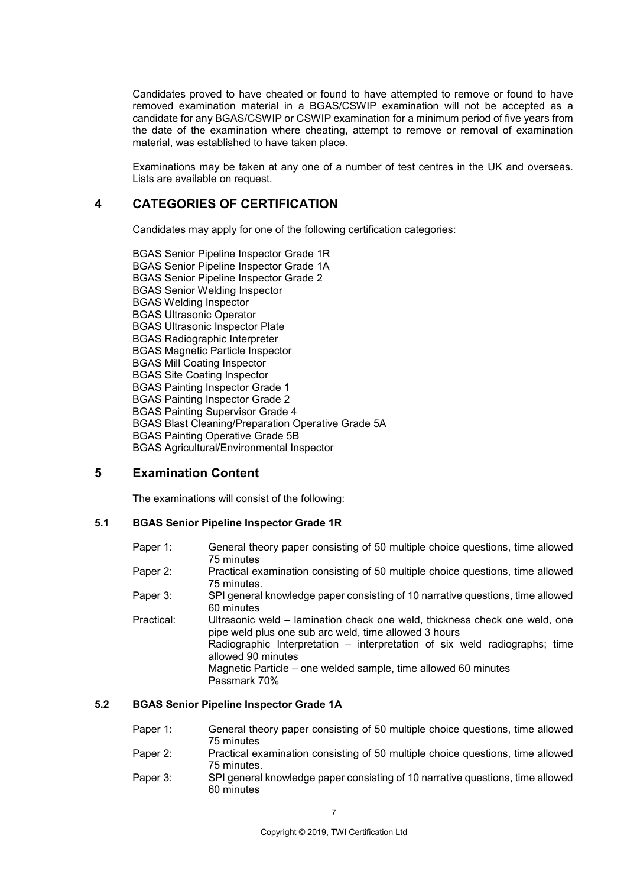Candidates proved to have cheated or found to have attempted to remove or found to have removed examination material in a BGAS/CSWIP examination will not be accepted as a candidate for any BGAS/CSWIP or CSWIP examination for a minimum period of five years from the date of the examination where cheating, attempt to remove or removal of examination material, was established to have taken place.

Examinations may be taken at any one of a number of test centres in the UK and overseas. Lists are available on request.

## **4 CATEGORIES OF CERTIFICATION**

Candidates may apply for one of the following certification categories:

BGAS Senior Pipeline Inspector Grade 1R BGAS Senior Pipeline Inspector Grade 1A BGAS Senior Pipeline Inspector Grade 2 BGAS Senior Welding Inspector BGAS Welding Inspector BGAS Ultrasonic Operator BGAS Ultrasonic Inspector Plate BGAS Radiographic Interpreter BGAS Magnetic Particle Inspector BGAS Mill Coating Inspector BGAS Site Coating Inspector BGAS Painting Inspector Grade 1 BGAS Painting Inspector Grade 2 BGAS Painting Supervisor Grade 4 BGAS Blast Cleaning/Preparation Operative Grade 5A BGAS Painting Operative Grade 5B BGAS Agricultural/Environmental Inspector

## **5 Examination Content**

The examinations will consist of the following:

### **5.1 BGAS Senior Pipeline Inspector Grade 1R**

Paper 1: General theory paper consisting of 50 multiple choice questions, time allowed 75 minutes Paper 2: Practical examination consisting of 50 multiple choice questions, time allowed 75 minutes. Paper 3: SPI general knowledge paper consisting of 10 narrative questions, time allowed 60 minutes Practical: Ultrasonic weld – lamination check one weld, thickness check one weld, one pipe weld plus one sub arc weld, time allowed 3 hours Radiographic Interpretation – interpretation of six weld radiographs; time allowed 90 minutes Magnetic Particle – one welded sample, time allowed 60 minutes Passmark 70%

### **5.2 BGAS Senior Pipeline Inspector Grade 1A**

| Paper 1: | General theory paper consisting of 50 multiple choice questions, time allowed  |
|----------|--------------------------------------------------------------------------------|
|          | 75 minutes                                                                     |
| Paper 2: | Practical examination consisting of 50 multiple choice questions, time allowed |
|          | 75 minutes.                                                                    |
| Paper 3: | SPI general knowledge paper consisting of 10 narrative questions, time allowed |
|          | 60 minutes                                                                     |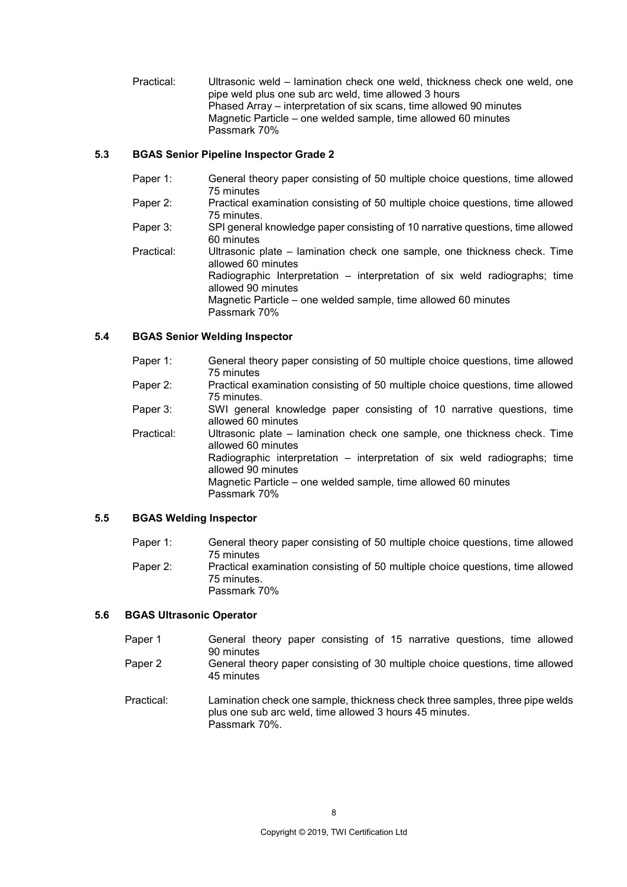Practical: Ultrasonic weld – lamination check one weld, thickness check one weld, one pipe weld plus one sub arc weld, time allowed 3 hours Phased Array – interpretation of six scans, time allowed 90 minutes Magnetic Particle – one welded sample, time allowed 60 minutes Passmark 70%

## **5.3 BGAS Senior Pipeline Inspector Grade 2**

| Paper 1:   | General theory paper consisting of 50 multiple choice questions, time allowed<br>75 minutes                                                                                                                                                                           |
|------------|-----------------------------------------------------------------------------------------------------------------------------------------------------------------------------------------------------------------------------------------------------------------------|
| Paper 2:   | Practical examination consisting of 50 multiple choice questions, time allowed<br>75 minutes.                                                                                                                                                                         |
| Paper 3:   | SPI general knowledge paper consisting of 10 narrative questions, time allowed<br>60 minutes                                                                                                                                                                          |
| Practical: | Ultrasonic plate – lamination check one sample, one thickness check. Time<br>allowed 60 minutes<br>Radiographic Interpretation – interpretation of six weld radiographs; time<br>allowed 90 minutes<br>Magnetic Particle – one welded sample, time allowed 60 minutes |
|            | Passmark 70%                                                                                                                                                                                                                                                          |

## **5.4 BGAS Senior Welding Inspector**

| Paper 1:   | General theory paper consisting of 50 multiple choice questions, time allowed<br>75 minutes                                                                                                                                                                                           |
|------------|---------------------------------------------------------------------------------------------------------------------------------------------------------------------------------------------------------------------------------------------------------------------------------------|
| Paper 2:   | Practical examination consisting of 50 multiple choice questions, time allowed<br>75 minutes.                                                                                                                                                                                         |
| Paper 3:   | SWI general knowledge paper consisting of 10 narrative questions, time<br>allowed 60 minutes                                                                                                                                                                                          |
| Practical: | Ultrasonic plate – lamination check one sample, one thickness check. Time<br>allowed 60 minutes<br>Radiographic interpretation – interpretation of six weld radiographs; time<br>allowed 90 minutes<br>Magnetic Particle – one welded sample, time allowed 60 minutes<br>Passmark 70% |

## **5.5 BGAS Welding Inspector**

| Paper 1: | General theory paper consisting of 50 multiple choice questions, time allowed  |
|----------|--------------------------------------------------------------------------------|
|          | 75 minutes                                                                     |
| Paper 2: | Practical examination consisting of 50 multiple choice questions, time allowed |
|          | 75 minutes.                                                                    |
|          | Passmark 70%                                                                   |

### **5.6 BGAS Ultrasonic Operator**

Passmark 70%.

| Paper 1    | General theory paper consisting of 15 narrative questions, time allowed<br>90 minutes                                                   |
|------------|-----------------------------------------------------------------------------------------------------------------------------------------|
| Paper 2    | General theory paper consisting of 30 multiple choice questions, time allowed<br>45 minutes                                             |
| Practical: | Lamination check one sample, thickness check three samples, three pipe welds<br>plus one sub arc weld, time allowed 3 hours 45 minutes. |

8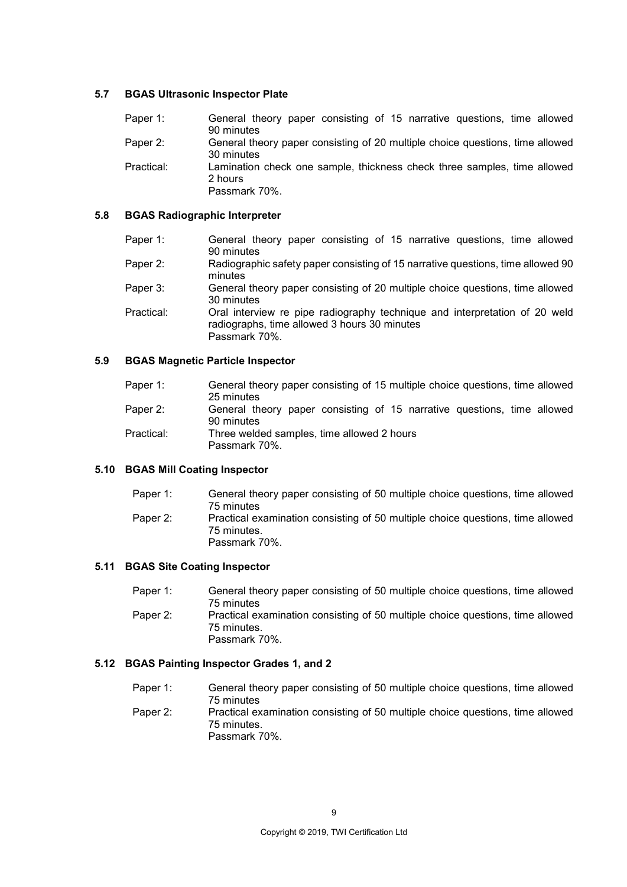#### **5.7 BGAS Ultrasonic Inspector Plate**

| Paper 1:   | General theory paper consisting of 15 narrative questions, time allowed       |
|------------|-------------------------------------------------------------------------------|
|            | 90 minutes                                                                    |
| Paper 2:   | General theory paper consisting of 20 multiple choice questions, time allowed |
|            | 30 minutes                                                                    |
| Practical: | Lamination check one sample, thickness check three samples, time allowed      |
|            | 2 hours                                                                       |
|            | Passmark 70%.                                                                 |

## **5.8 BGAS Radiographic Interpreter**

| Paper 1:   | General theory paper consisting of 15 narrative questions, time allowed<br>90 minutes                                                       |
|------------|---------------------------------------------------------------------------------------------------------------------------------------------|
| Paper 2:   | Radiographic safety paper consisting of 15 narrative questions, time allowed 90<br>minutes                                                  |
| Paper 3:   | General theory paper consisting of 20 multiple choice questions, time allowed<br>30 minutes                                                 |
| Practical: | Oral interview re pipe radiography technique and interpretation of 20 weld<br>radiographs, time allowed 3 hours 30 minutes<br>Passmark 70%. |

#### **5.9 BGAS Magnetic Particle Inspector**

| Paper 1:   | General theory paper consisting of 15 multiple choice questions, time allowed<br>25 minutes |
|------------|---------------------------------------------------------------------------------------------|
| Paper 2:   | General theory paper consisting of 15 narrative questions, time allowed<br>90 minutes       |
| Practical: | Three welded samples, time allowed 2 hours<br>Passmark 70%.                                 |

#### **5.10 BGAS Mill Coating Inspector**

| Paper 1: | General theory paper consisting of 50 multiple choice questions, time allowed                                  |
|----------|----------------------------------------------------------------------------------------------------------------|
|          | 75 minutes                                                                                                     |
| Paper 2: | Practical examination consisting of 50 multiple choice questions, time allowed<br>75 minutes.<br>Passmark 70%. |

#### **5.11 BGAS Site Coating Inspector**

| Paper 1: | General theory paper consisting of 50 multiple choice questions, time allowed                 |
|----------|-----------------------------------------------------------------------------------------------|
|          | 75 minutes                                                                                    |
| Paper 2: | Practical examination consisting of 50 multiple choice questions, time allowed<br>75 minutes. |
|          | Passmark 70%.                                                                                 |

## **5.12 BGAS Painting Inspector Grades 1, and 2**

Paper 1: General theory paper consisting of 50 multiple choice questions, time allowed 75 minutes Paper 2: Practical examination consisting of 50 multiple choice questions, time allowed 75 minutes. Passmark 70%.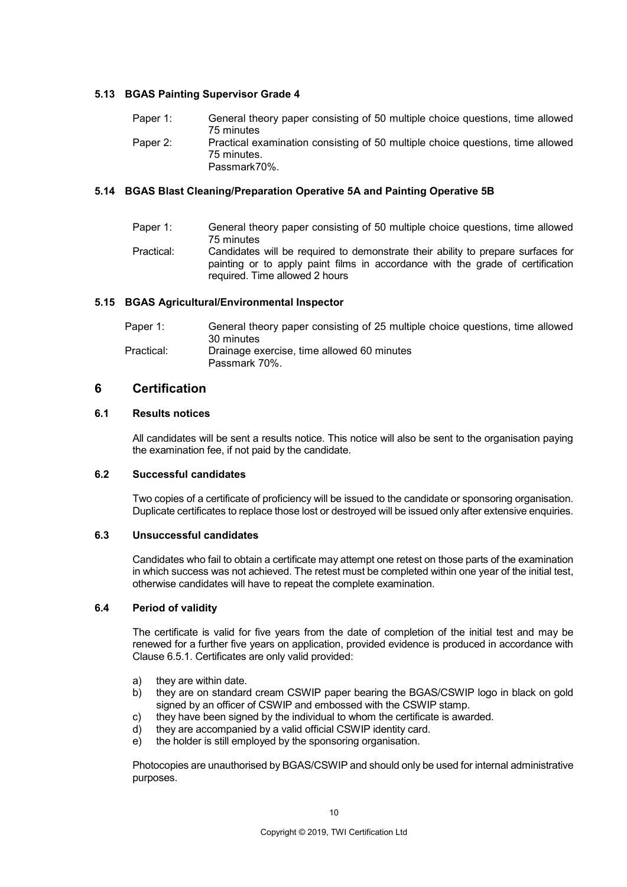#### **5.13 BGAS Painting Supervisor Grade 4**

Paper 1: General theory paper consisting of 50 multiple choice questions, time allowed 75 minutes Paper 2: Practical examination consisting of 50 multiple choice questions, time allowed 75 minutes. Passmark70%.

#### **5.14 BGAS Blast Cleaning/Preparation Operative 5A and Painting Operative 5B**

Paper 1: General theory paper consisting of 50 multiple choice questions, time allowed 75 minutes Practical: Candidates will be required to demonstrate their ability to prepare surfaces for painting or to apply paint films in accordance with the grade of certification required. Time allowed 2 hours

#### **5.15 BGAS Agricultural/Environmental Inspector**

| Paper 1:   | General theory paper consisting of 25 multiple choice questions, time allowed |
|------------|-------------------------------------------------------------------------------|
|            | 30 minutes                                                                    |
| Practical: | Drainage exercise, time allowed 60 minutes                                    |
|            | Passmark 70%.                                                                 |

### **6 Certification**

#### **6.1 Results notices**

All candidates will be sent a results notice. This notice will also be sent to the organisation paying the examination fee, if not paid by the candidate.

#### **6.2 Successful candidates**

Two copies of a certificate of proficiency will be issued to the candidate or sponsoring organisation. Duplicate certificates to replace those lost or destroyed will be issued only after extensive enquiries.

#### **6.3 Unsuccessful candidates**

Candidates who fail to obtain a certificate may attempt one retest on those parts of the examination in which success was not achieved. The retest must be completed within one year of the initial test, otherwise candidates will have to repeat the complete examination.

#### **6.4 Period of validity**

The certificate is valid for five years from the date of completion of the initial test and may be renewed for a further five years on application, provided evidence is produced in accordance with Clause 6.5.1. Certificates are only valid provided:

- a) they are within date.
- b) they are on standard cream CSWIP paper bearing the BGAS/CSWIP logo in black on gold signed by an officer of CSWIP and embossed with the CSWIP stamp.
- c) they have been signed by the individual to whom the certificate is awarded.
- d) they are accompanied by a valid official CSWIP identity card.
- e) the holder is still employed by the sponsoring organisation.

Photocopies are unauthorised by BGAS/CSWIP and should only be used for internal administrative purposes.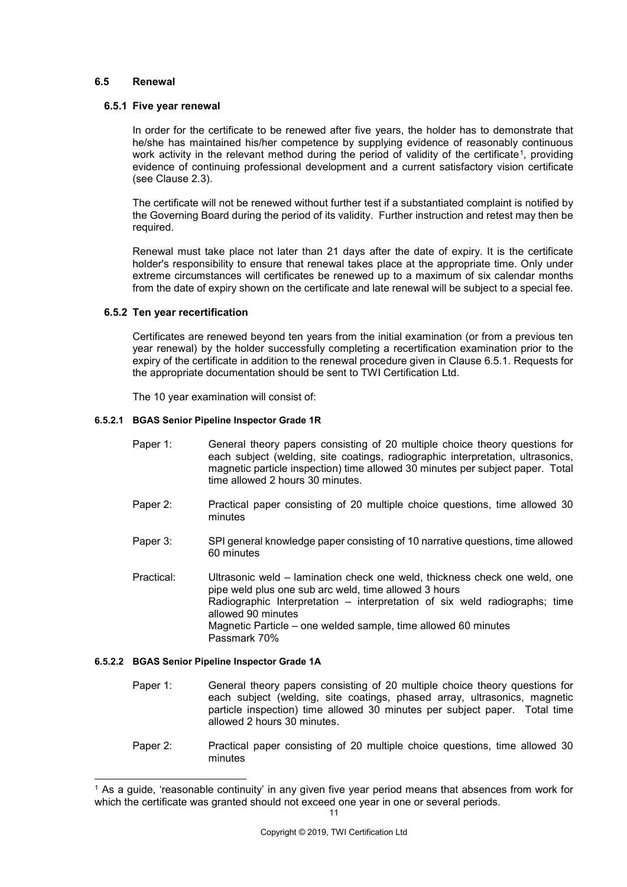#### **6.5 Renewal**

#### **6.5.1 Five year renewal**

In order for the certificate to be renewed after five years, the holder has to demonstrate that he/she has maintained his/her competence by supplying evidence of reasonably continuous work activity in the relevant method during the period of validity of the certificate<sup>[1](#page-11-0)</sup>, providing evidence of continuing professional development and a current satisfactory vision certificate (see Clause 2.3).

The certificate will not be renewed without further test if a substantiated complaint is notified by the Governing Board during the period of its validity. Further instruction and retest may then be required.

Renewal must take place not later than 21 days after the date of expiry. It is the certificate holder's responsibility to ensure that renewal takes place at the appropriate time. Only under extreme circumstances will certificates be renewed up to a maximum of six calendar months from the date of expiry shown on the certificate and late renewal will be subject to a special fee.

#### **6.5.2 Ten year recertification**

Certificates are renewed beyond ten years from the initial examination (or from a previous ten year renewal) by the holder successfully completing a recertification examination prior to the expiry of the certificate in addition to the renewal procedure given in Clause 6.5.1. Requests for the appropriate documentation should be sent to TWI Certification Ltd.

The 10 year examination will consist of:

#### **6.5.2.1 BGAS Senior Pipeline Inspector Grade 1R**

- Paper 1: General theory papers consisting of 20 multiple choice theory questions for each subject (welding, site coatings, radiographic interpretation, ultrasonics, magnetic particle inspection) time allowed 30 minutes per subject paper. Total time allowed 2 hours 30 minutes.
- Paper 2: Practical paper consisting of 20 multiple choice questions, time allowed 30 minutes
- Paper 3: SPI general knowledge paper consisting of 10 narrative questions, time allowed 60 minutes
- Practical: Ultrasonic weld lamination check one weld, thickness check one weld, one pipe weld plus one sub arc weld, time allowed 3 hours Radiographic Interpretation – interpretation of six weld radiographs; time allowed 90 minutes Magnetic Particle – one welded sample, time allowed 60 minutes Passmark 70%

#### **6.5.2.2 BGAS Senior Pipeline Inspector Grade 1A**

- Paper 1: General theory papers consisting of 20 multiple choice theory questions for each subject (welding, site coatings, phased array, ultrasonics, magnetic particle inspection) time allowed 30 minutes per subject paper. Total time allowed 2 hours 30 minutes.
- Paper 2: Practical paper consisting of 20 multiple choice questions, time allowed 30 minutes

<span id="page-11-0"></span><sup>&</sup>lt;sup>1</sup> As a guide, 'reasonable continuity' in any given five year period means that absences from work for which the certificate was granted should not exceed one year in one or several periods.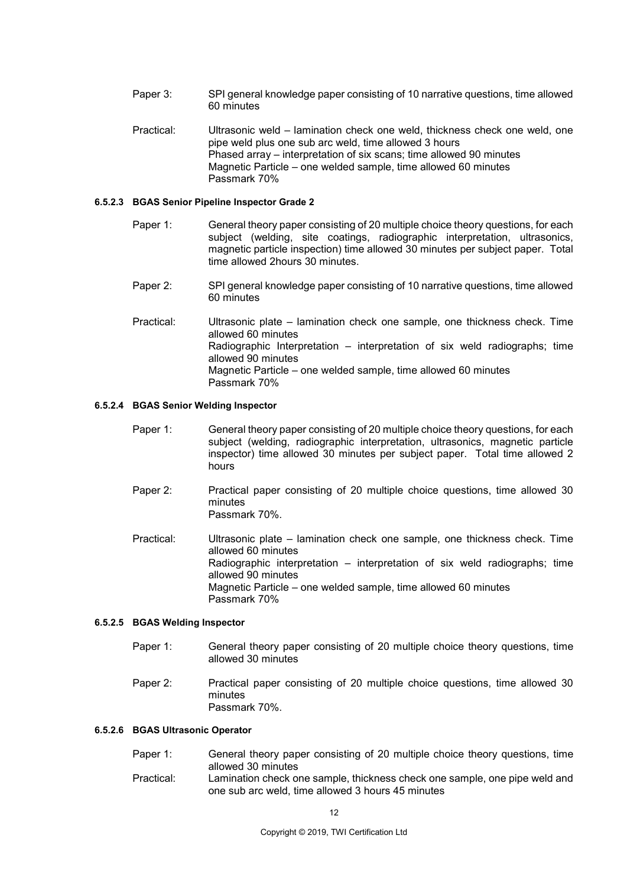- Paper 3: SPI general knowledge paper consisting of 10 narrative questions, time allowed 60 minutes
- Practical: Ultrasonic weld lamination check one weld, thickness check one weld, one pipe weld plus one sub arc weld, time allowed 3 hours Phased array – interpretation of six scans; time allowed 90 minutes Magnetic Particle – one welded sample, time allowed 60 minutes Passmark 70%

#### **6.5.2.3 BGAS Senior Pipeline Inspector Grade 2**

- Paper 1: General theory paper consisting of 20 multiple choice theory questions, for each subject (welding, site coatings, radiographic interpretation, ultrasonics, magnetic particle inspection) time allowed 30 minutes per subject paper. Total time allowed 2hours 30 minutes.
- Paper 2: SPI general knowledge paper consisting of 10 narrative questions, time allowed 60 minutes
- Practical: Ultrasonic plate lamination check one sample, one thickness check. Time allowed 60 minutes Radiographic Interpretation – interpretation of six weld radiographs; time allowed 90 minutes Magnetic Particle – one welded sample, time allowed 60 minutes Passmark 70%

#### **6.5.2.4 BGAS Senior Welding Inspector**

- Paper 1: General theory paper consisting of 20 multiple choice theory questions, for each subject (welding, radiographic interpretation, ultrasonics, magnetic particle inspector) time allowed 30 minutes per subject paper. Total time allowed 2 hours
- Paper 2: Practical paper consisting of 20 multiple choice questions, time allowed 30 minutes Passmark 70%.
- Practical: Ultrasonic plate lamination check one sample, one thickness check. Time allowed 60 minutes Radiographic interpretation – interpretation of six weld radiographs; time allowed 90 minutes Magnetic Particle – one welded sample, time allowed 60 minutes Passmark 70%

#### **6.5.2.5 BGAS Welding Inspector**

- Paper 1: General theory paper consisting of 20 multiple choice theory questions, time allowed 30 minutes
- Paper 2: Practical paper consisting of 20 multiple choice questions, time allowed 30 minutes Passmark 70%.

#### **6.5.2.6 BGAS Ultrasonic Operator**

Paper 1: General theory paper consisting of 20 multiple choice theory questions, time allowed 30 minutes Practical: Lamination check one sample, thickness check one sample, one pipe weld and one sub arc weld, time allowed 3 hours 45 minutes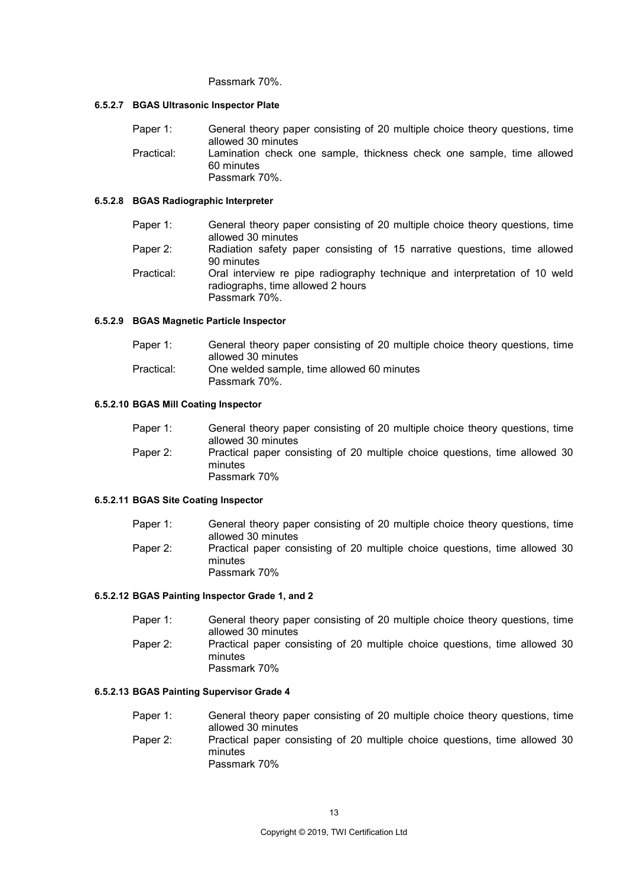#### Passmark 70%.

#### **6.5.2.7 BGAS Ultrasonic Inspector Plate**

Paper 1: General theory paper consisting of 20 multiple choice theory questions, time allowed 30 minutes Practical: Lamination check one sample, thickness check one sample, time allowed 60 minutes Passmark 70%.

#### **6.5.2.8 BGAS Radiographic Interpreter**

| Paper 1:   | General theory paper consisting of 20 multiple choice theory questions, time<br>allowed 30 minutes                               |
|------------|----------------------------------------------------------------------------------------------------------------------------------|
| Paper 2:   | Radiation safety paper consisting of 15 narrative questions, time allowed<br>90 minutes                                          |
| Practical: | Oral interview re pipe radiography technique and interpretation of 10 weld<br>radiographs, time allowed 2 hours<br>Passmark 70%. |

#### **6.5.2.9 BGAS Magnetic Particle Inspector**

| Paper 1:                                                 | General theory paper consisting of 20 multiple choice theory questions, time |
|----------------------------------------------------------|------------------------------------------------------------------------------|
|                                                          | allowed 30 minutes                                                           |
| One welded sample, time allowed 60 minutes<br>Practical: |                                                                              |
|                                                          | Passmark 70%.                                                                |

#### **6.5.2.10 BGAS Mill Coating Inspector**

| Paper 1: | General theory paper consisting of 20 multiple choice theory questions, time                           |
|----------|--------------------------------------------------------------------------------------------------------|
|          | allowed 30 minutes                                                                                     |
| Paper 2: | Practical paper consisting of 20 multiple choice questions, time allowed 30<br>minutes<br>Passmark 70% |

#### **6.5.2.11 BGAS Site Coating Inspector**

| Paper 1: | General theory paper consisting of 20 multiple choice theory questions, time           |
|----------|----------------------------------------------------------------------------------------|
|          | allowed 30 minutes                                                                     |
| Paper 2: | Practical paper consisting of 20 multiple choice questions, time allowed 30<br>minutes |
|          | Passmark 70%                                                                           |

#### **6.5.2.12 BGAS Painting Inspector Grade 1, and 2**

| Paper 1: | General theory paper consisting of 20 multiple choice theory questions, time                           |  |
|----------|--------------------------------------------------------------------------------------------------------|--|
|          | allowed 30 minutes                                                                                     |  |
| Paper 2: | Practical paper consisting of 20 multiple choice questions, time allowed 30<br>minutes<br>Passmark 70% |  |

#### **6.5.2.13 BGAS Painting Supervisor Grade 4**

Paper 1: General theory paper consisting of 20 multiple choice theory questions, time allowed 30 minutes Paper 2: Practical paper consisting of 20 multiple choice questions, time allowed 30 minutes Passmark 70%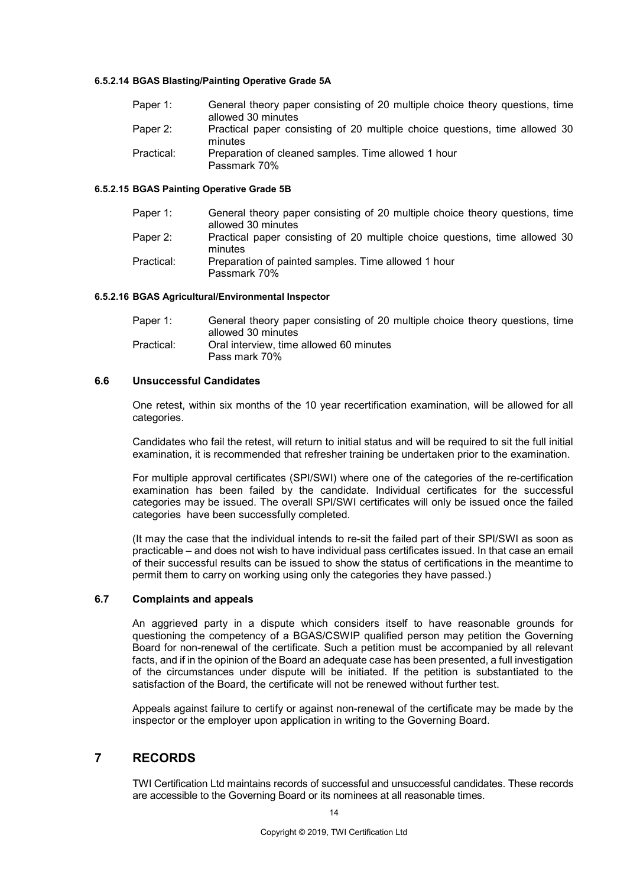#### **6.5.2.14 BGAS Blasting/Painting Operative Grade 5A**

| Paper 1:   | General theory paper consisting of 20 multiple choice theory questions, time<br>allowed 30 minutes |
|------------|----------------------------------------------------------------------------------------------------|
|            |                                                                                                    |
| Paper 2:   | Practical paper consisting of 20 multiple choice questions, time allowed 30                        |
|            | minutes                                                                                            |
| Practical: | Preparation of cleaned samples. Time allowed 1 hour                                                |
|            |                                                                                                    |
|            | Passmark 70%                                                                                       |

#### **6.5.2.15 BGAS Painting Operative Grade 5B**

| Paper 1:   | General theory paper consisting of 20 multiple choice theory questions, time           |
|------------|----------------------------------------------------------------------------------------|
|            | allowed 30 minutes                                                                     |
| Paper 2:   | Practical paper consisting of 20 multiple choice questions, time allowed 30<br>minutes |
| Practical: | Preparation of painted samples. Time allowed 1 hour<br>Passmark 70%                    |

#### **6.5.2.16 BGAS Agricultural/Environmental Inspector**

| Paper 1:   | General theory paper consisting of 20 multiple choice theory questions, time |
|------------|------------------------------------------------------------------------------|
|            | allowed 30 minutes                                                           |
| Practical: | Oral interview, time allowed 60 minutes                                      |
|            | Pass mark 70%                                                                |

#### **6.6 Unsuccessful Candidates**

One retest, within six months of the 10 year recertification examination, will be allowed for all categories.

Candidates who fail the retest, will return to initial status and will be required to sit the full initial examination, it is recommended that refresher training be undertaken prior to the examination.

For multiple approval certificates (SPI/SWI) where one of the categories of the re-certification examination has been failed by the candidate. Individual certificates for the successful categories may be issued. The overall SPI/SWI certificates will only be issued once the failed categories have been successfully completed.

(It may the case that the individual intends to re-sit the failed part of their SPI/SWI as soon as practicable – and does not wish to have individual pass certificates issued. In that case an email of their successful results can be issued to show the status of certifications in the meantime to permit them to carry on working using only the categories they have passed.)

#### **6.7 Complaints and appeals**

An aggrieved party in a dispute which considers itself to have reasonable grounds for questioning the competency of a BGAS/CSWIP qualified person may petition the Governing Board for non-renewal of the certificate. Such a petition must be accompanied by all relevant facts, and if in the opinion of the Board an adequate case has been presented, a full investigation of the circumstances under dispute will be initiated. If the petition is substantiated to the satisfaction of the Board, the certificate will not be renewed without further test.

Appeals against failure to certify or against non-renewal of the certificate may be made by the inspector or the employer upon application in writing to the Governing Board.

## **7 RECORDS**

TWI Certification Ltd maintains records of successful and unsuccessful candidates. These records are accessible to the Governing Board or its nominees at all reasonable times.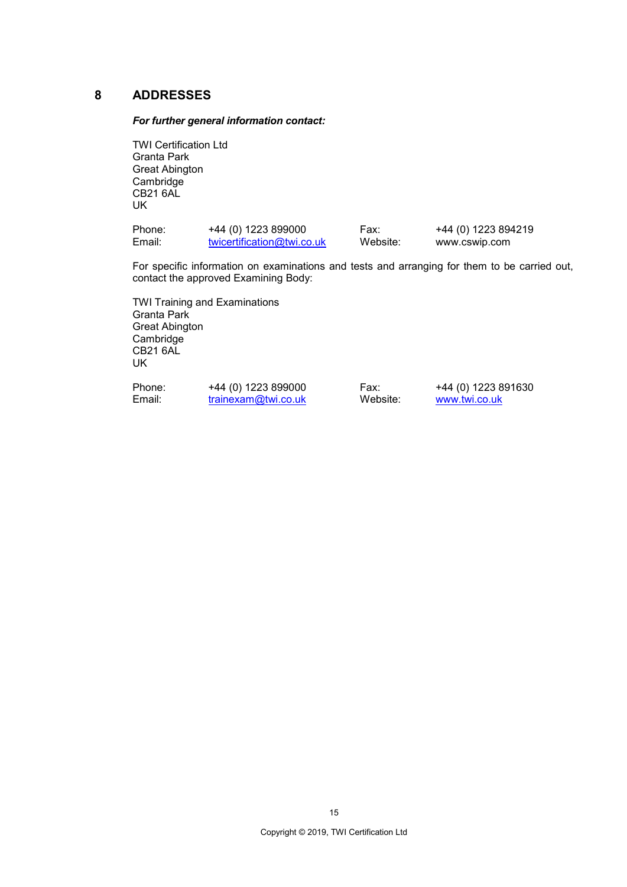## **8 ADDRESSES**

#### *For further general information contact:*

TWI Certification Ltd Granta Park Great Abington **Cambridge** CB21 6AL UK

| Phone: | +44 (0) 1223 899000        | Fax:     | +44 (0) 1223 894219 |
|--------|----------------------------|----------|---------------------|
| Email: | twicertification@twi.co.uk | Website: | www.cswip.com       |

For specific information on examinations and tests and arranging for them to be carried out, contact the approved Examining Body:

TWI Training and Examinations Granta Park Great Abington Cambridge CB21 6AL UK

Phone: +44 (0) 1223 899000 Fax: +44 (0) 1223 891630<br>
Email: trainexam@twi.co.uk Website: www.twi.co.uk [trainexam@twi.co.uk](mailto:trainexam@twi.co.uk)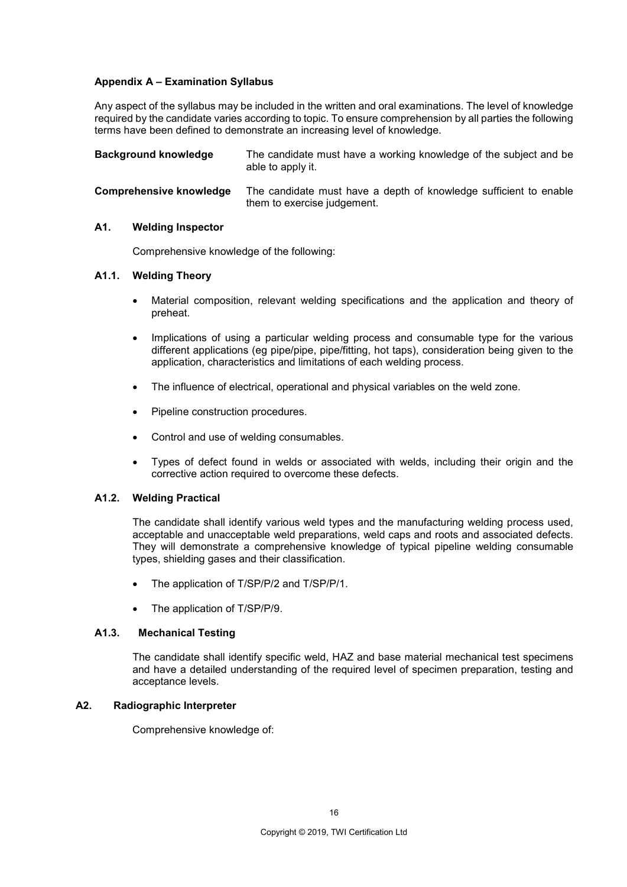## **Appendix A – Examination Syllabus**

Any aspect of the syllabus may be included in the written and oral examinations. The level of knowledge required by the candidate varies according to topic. To ensure comprehension by all parties the following terms have been defined to demonstrate an increasing level of knowledge.

| <b>Background knowledge</b>    | The candidate must have a working knowledge of the subject and be<br>able to apply it.           |
|--------------------------------|--------------------------------------------------------------------------------------------------|
| <b>Comprehensive knowledge</b> | The candidate must have a depth of knowledge sufficient to enable<br>them to exercise judgement. |

#### **A1. Welding Inspector**

Comprehensive knowledge of the following:

#### **A1.1. Welding Theory**

- Material composition, relevant welding specifications and the application and theory of preheat.
- Implications of using a particular welding process and consumable type for the various different applications (eg pipe/pipe, pipe/fitting, hot taps), consideration being given to the application, characteristics and limitations of each welding process.
- The influence of electrical, operational and physical variables on the weld zone.
- Pipeline construction procedures.
- Control and use of welding consumables.
- Types of defect found in welds or associated with welds, including their origin and the corrective action required to overcome these defects.

#### **A1.2. Welding Practical**

The candidate shall identify various weld types and the manufacturing welding process used, acceptable and unacceptable weld preparations, weld caps and roots and associated defects. They will demonstrate a comprehensive knowledge of typical pipeline welding consumable types, shielding gases and their classification.

- The application of T/SP/P/2 and T/SP/P/1.
- The application of T/SP/P/9.

#### **A1.3. Mechanical Testing**

The candidate shall identify specific weld, HAZ and base material mechanical test specimens and have a detailed understanding of the required level of specimen preparation, testing and acceptance levels.

#### **A2. Radiographic Interpreter**

Comprehensive knowledge of: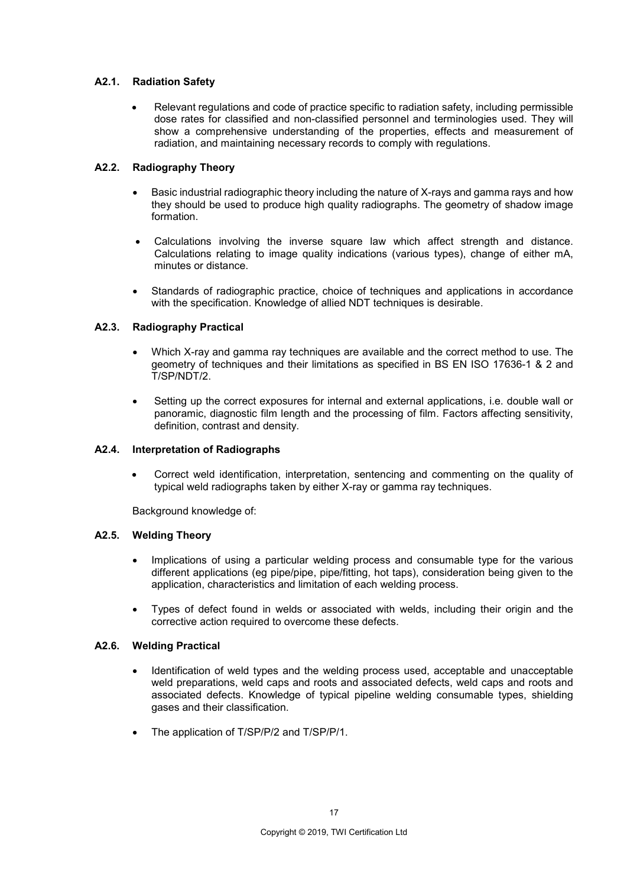## **A2.1. Radiation Safety**

• Relevant regulations and code of practice specific to radiation safety, including permissible dose rates for classified and non-classified personnel and terminologies used. They will show a comprehensive understanding of the properties, effects and measurement of radiation, and maintaining necessary records to comply with regulations.

## **A2.2. Radiography Theory**

- Basic industrial radiographic theory including the nature of X-rays and gamma rays and how they should be used to produce high quality radiographs. The geometry of shadow image formation.
- Calculations involving the inverse square law which affect strength and distance. Calculations relating to image quality indications (various types), change of either mA, minutes or distance.
- Standards of radiographic practice, choice of techniques and applications in accordance with the specification. Knowledge of allied NDT techniques is desirable.

## **A2.3. Radiography Practical**

- Which X-ray and gamma ray techniques are available and the correct method to use. The geometry of techniques and their limitations as specified in BS EN ISO 17636-1 & 2 and T/SP/NDT/2.
- Setting up the correct exposures for internal and external applications, i.e. double wall or panoramic, diagnostic film length and the processing of film. Factors affecting sensitivity, definition, contrast and density.

### **A2.4. Interpretation of Radiographs**

• Correct weld identification, interpretation, sentencing and commenting on the quality of typical weld radiographs taken by either X-ray or gamma ray techniques.

Background knowledge of:

### **A2.5. Welding Theory**

- Implications of using a particular welding process and consumable type for the various different applications (eg pipe/pipe, pipe/fitting, hot taps), consideration being given to the application, characteristics and limitation of each welding process.
- Types of defect found in welds or associated with welds, including their origin and the corrective action required to overcome these defects.

### **A2.6. Welding Practical**

- Identification of weld types and the welding process used, acceptable and unacceptable weld preparations, weld caps and roots and associated defects, weld caps and roots and associated defects. Knowledge of typical pipeline welding consumable types, shielding gases and their classification.
- The application of T/SP/P/2 and T/SP/P/1.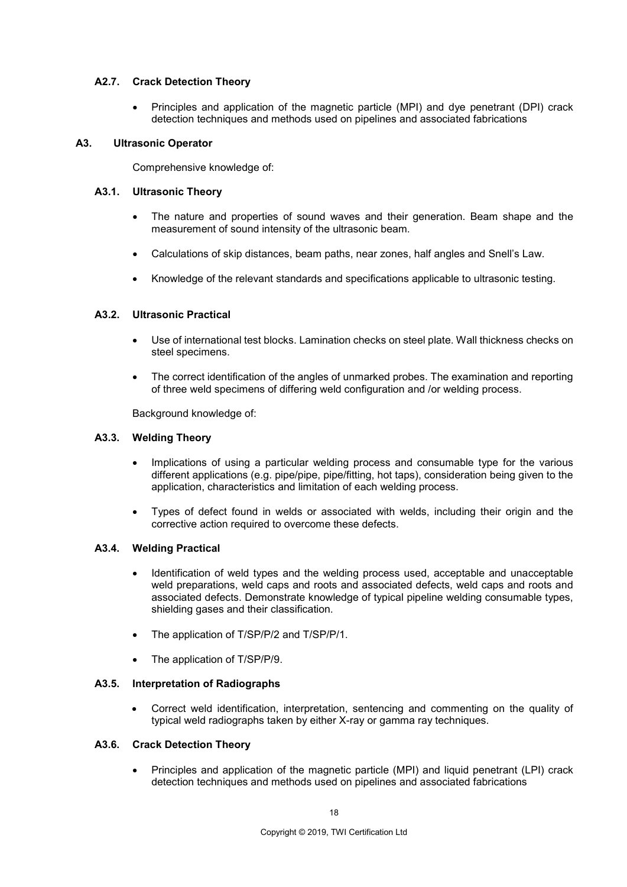## **A2.7. Crack Detection Theory**

• Principles and application of the magnetic particle (MPI) and dye penetrant (DPI) crack detection techniques and methods used on pipelines and associated fabrications

#### **A3. Ultrasonic Operator**

Comprehensive knowledge of:

### **A3.1. Ultrasonic Theory**

- The nature and properties of sound waves and their generation. Beam shape and the measurement of sound intensity of the ultrasonic beam.
- Calculations of skip distances, beam paths, near zones, half angles and Snell's Law.
- Knowledge of the relevant standards and specifications applicable to ultrasonic testing.

#### **A3.2. Ultrasonic Practical**

- Use of international test blocks. Lamination checks on steel plate. Wall thickness checks on steel specimens.
- The correct identification of the angles of unmarked probes. The examination and reporting of three weld specimens of differing weld configuration and /or welding process.

Background knowledge of:

#### **A3.3. Welding Theory**

- Implications of using a particular welding process and consumable type for the various different applications (e.g. pipe/pipe, pipe/fitting, hot taps), consideration being given to the application, characteristics and limitation of each welding process.
- Types of defect found in welds or associated with welds, including their origin and the corrective action required to overcome these defects.

#### **A3.4. Welding Practical**

- Identification of weld types and the welding process used, acceptable and unacceptable weld preparations, weld caps and roots and associated defects, weld caps and roots and associated defects. Demonstrate knowledge of typical pipeline welding consumable types, shielding gases and their classification.
- The application of T/SP/P/2 and T/SP/P/1.
- The application of T/SP/P/9.

#### **A3.5. Interpretation of Radiographs**

• Correct weld identification, interpretation, sentencing and commenting on the quality of typical weld radiographs taken by either X-ray or gamma ray techniques.

#### **A3.6. Crack Detection Theory**

• Principles and application of the magnetic particle (MPI) and liquid penetrant (LPI) crack detection techniques and methods used on pipelines and associated fabrications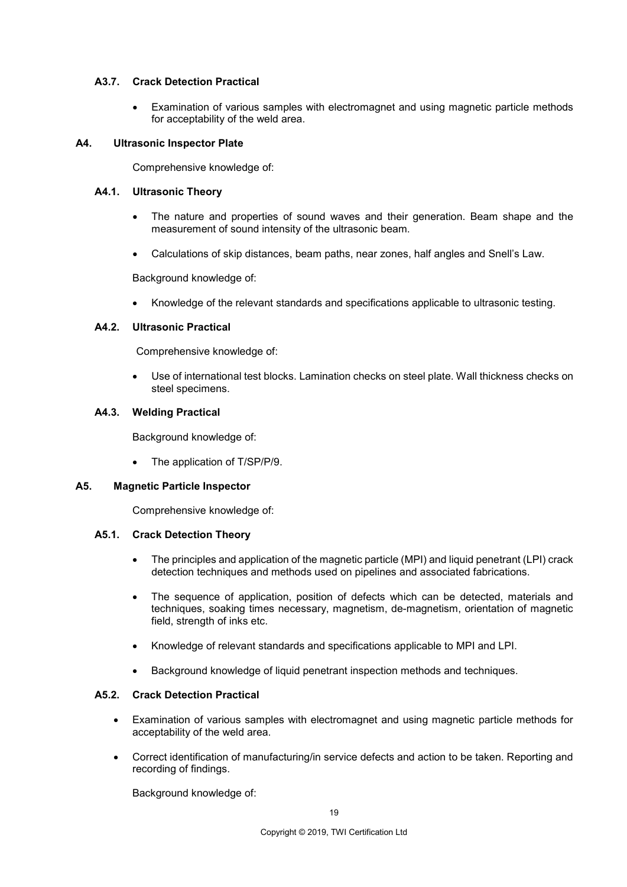#### **A3.7. Crack Detection Practical**

• Examination of various samples with electromagnet and using magnetic particle methods for acceptability of the weld area.

#### **A4. Ultrasonic Inspector Plate**

Comprehensive knowledge of:

#### **A4.1. Ultrasonic Theory**

- The nature and properties of sound waves and their generation. Beam shape and the measurement of sound intensity of the ultrasonic beam.
- Calculations of skip distances, beam paths, near zones, half angles and Snell's Law.

Background knowledge of:

• Knowledge of the relevant standards and specifications applicable to ultrasonic testing.

#### **A4.2. Ultrasonic Practical**

Comprehensive knowledge of:

• Use of international test blocks. Lamination checks on steel plate. Wall thickness checks on steel specimens.

#### **A4.3. Welding Practical**

Background knowledge of:

• The application of T/SP/P/9.

#### **A5. Magnetic Particle Inspector**

Comprehensive knowledge of:

#### **A5.1. Crack Detection Theory**

- The principles and application of the magnetic particle (MPI) and liquid penetrant (LPI) crack detection techniques and methods used on pipelines and associated fabrications.
- The sequence of application, position of defects which can be detected, materials and techniques, soaking times necessary, magnetism, de-magnetism, orientation of magnetic field, strength of inks etc.
- Knowledge of relevant standards and specifications applicable to MPI and LPI.
- Background knowledge of liquid penetrant inspection methods and techniques.

#### **A5.2. Crack Detection Practical**

- Examination of various samples with electromagnet and using magnetic particle methods for acceptability of the weld area.
- Correct identification of manufacturing/in service defects and action to be taken. Reporting and recording of findings.

Background knowledge of: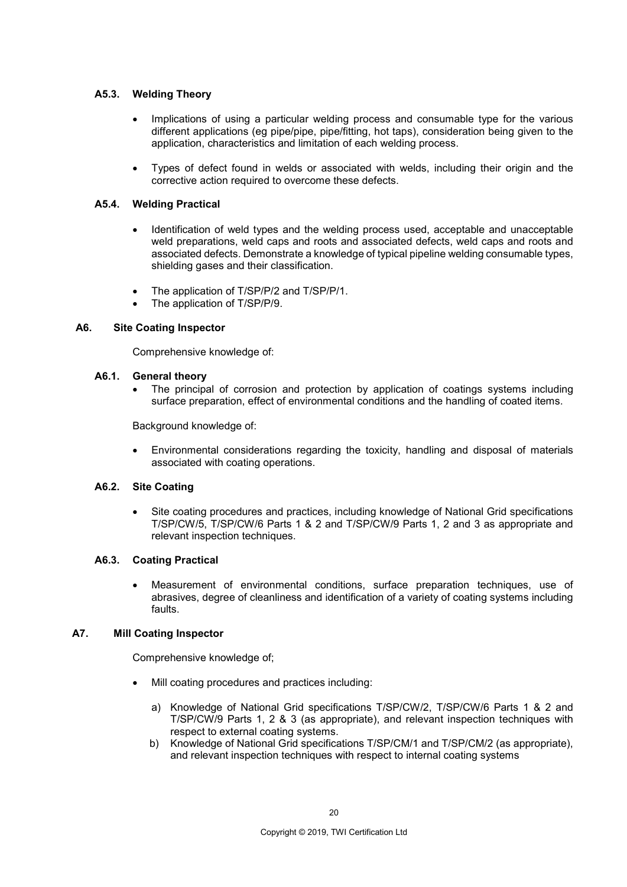## **A5.3. Welding Theory**

- Implications of using a particular welding process and consumable type for the various different applications (eg pipe/pipe, pipe/fitting, hot taps), consideration being given to the application, characteristics and limitation of each welding process.
- Types of defect found in welds or associated with welds, including their origin and the corrective action required to overcome these defects.

### **A5.4. Welding Practical**

- Identification of weld types and the welding process used, acceptable and unacceptable weld preparations, weld caps and roots and associated defects, weld caps and roots and associated defects. Demonstrate a knowledge of typical pipeline welding consumable types, shielding gases and their classification.
- The application of T/SP/P/2 and T/SP/P/1.
- The application of T/SP/P/9.

### **A6. Site Coating Inspector**

Comprehensive knowledge of:

### **A6.1. General theory**

The principal of corrosion and protection by application of coatings systems including surface preparation, effect of environmental conditions and the handling of coated items.

Background knowledge of:

• Environmental considerations regarding the toxicity, handling and disposal of materials associated with coating operations.

### **A6.2. Site Coating**

• Site coating procedures and practices, including knowledge of National Grid specifications T/SP/CW/5, T/SP/CW/6 Parts 1 & 2 and T/SP/CW/9 Parts 1, 2 and 3 as appropriate and relevant inspection techniques.

### **A6.3. Coating Practical**

• Measurement of environmental conditions, surface preparation techniques, use of abrasives, degree of cleanliness and identification of a variety of coating systems including faults.

### **A7. Mill Coating Inspector**

Comprehensive knowledge of;

- Mill coating procedures and practices including:
	- a) Knowledge of National Grid specifications T/SP/CW/2, T/SP/CW/6 Parts 1 & 2 and T/SP/CW/9 Parts 1, 2 & 3 (as appropriate), and relevant inspection techniques with respect to external coating systems.
	- b) Knowledge of National Grid specifications T/SP/CM/1 and T/SP/CM/2 (as appropriate), and relevant inspection techniques with respect to internal coating systems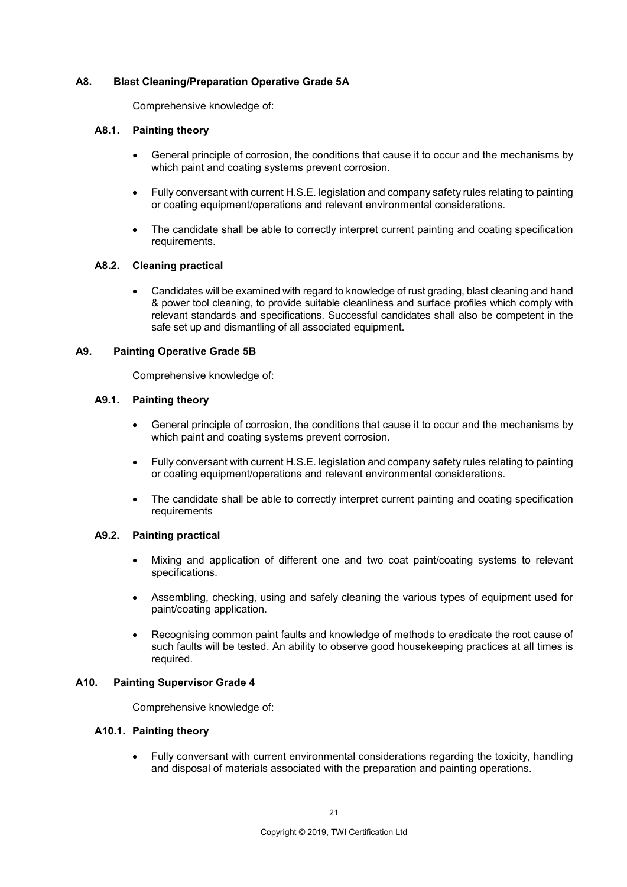### **A8. Blast Cleaning/Preparation Operative Grade 5A**

Comprehensive knowledge of:

### **A8.1. Painting theory**

- General principle of corrosion, the conditions that cause it to occur and the mechanisms by which paint and coating systems prevent corrosion.
- Fully conversant with current H.S.E. legislation and company safety rules relating to painting or coating equipment/operations and relevant environmental considerations.
- The candidate shall be able to correctly interpret current painting and coating specification requirements.

#### **A8.2. Cleaning practical**

• Candidates will be examined with regard to knowledge of rust grading, blast cleaning and hand & power tool cleaning, to provide suitable cleanliness and surface profiles which comply with relevant standards and specifications. Successful candidates shall also be competent in the safe set up and dismantling of all associated equipment.

#### **A9. Painting Operative Grade 5B**

Comprehensive knowledge of:

#### **A9.1. Painting theory**

- General principle of corrosion, the conditions that cause it to occur and the mechanisms by which paint and coating systems prevent corrosion.
- Fully conversant with current H.S.E. legislation and company safety rules relating to painting or coating equipment/operations and relevant environmental considerations.
- The candidate shall be able to correctly interpret current painting and coating specification requirements

#### **A9.2. Painting practical**

- Mixing and application of different one and two coat paint/coating systems to relevant specifications.
- Assembling, checking, using and safely cleaning the various types of equipment used for paint/coating application.
- Recognising common paint faults and knowledge of methods to eradicate the root cause of such faults will be tested. An ability to observe good housekeeping practices at all times is required.

#### **A10. Painting Supervisor Grade 4**

Comprehensive knowledge of:

## **A10.1. Painting theory**

• Fully conversant with current environmental considerations regarding the toxicity, handling and disposal of materials associated with the preparation and painting operations.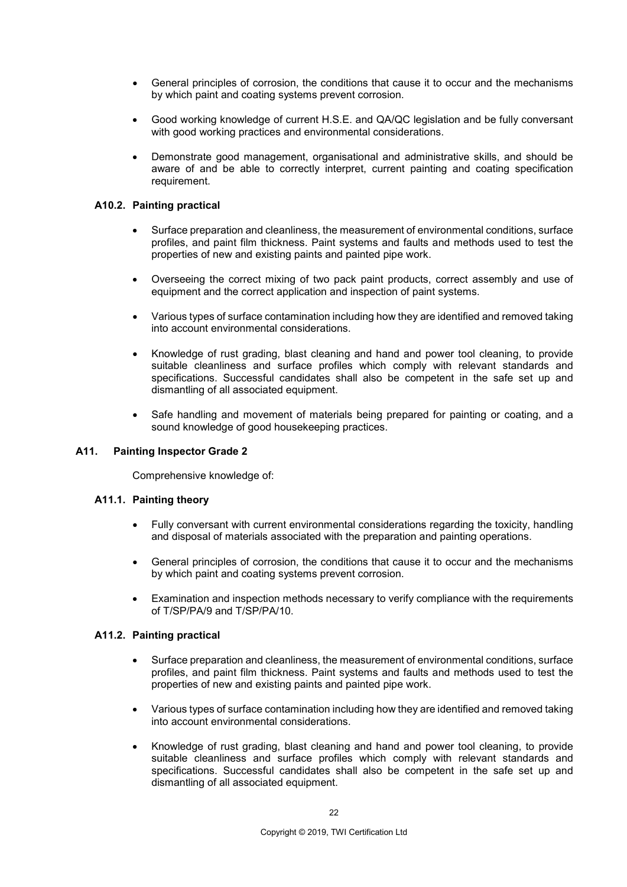- General principles of corrosion, the conditions that cause it to occur and the mechanisms by which paint and coating systems prevent corrosion.
- Good working knowledge of current H.S.E. and QA/QC legislation and be fully conversant with good working practices and environmental considerations.
- Demonstrate good management, organisational and administrative skills, and should be aware of and be able to correctly interpret, current painting and coating specification requirement.

#### **A10.2. Painting practical**

- Surface preparation and cleanliness, the measurement of environmental conditions, surface profiles, and paint film thickness. Paint systems and faults and methods used to test the properties of new and existing paints and painted pipe work.
- Overseeing the correct mixing of two pack paint products, correct assembly and use of equipment and the correct application and inspection of paint systems.
- Various types of surface contamination including how they are identified and removed taking into account environmental considerations.
- Knowledge of rust grading, blast cleaning and hand and power tool cleaning, to provide suitable cleanliness and surface profiles which comply with relevant standards and specifications. Successful candidates shall also be competent in the safe set up and dismantling of all associated equipment.
- Safe handling and movement of materials being prepared for painting or coating, and a sound knowledge of good housekeeping practices.

#### **A11. Painting Inspector Grade 2**

Comprehensive knowledge of:

#### **A11.1. Painting theory**

- Fully conversant with current environmental considerations regarding the toxicity, handling and disposal of materials associated with the preparation and painting operations.
- General principles of corrosion, the conditions that cause it to occur and the mechanisms by which paint and coating systems prevent corrosion.
- Examination and inspection methods necessary to verify compliance with the requirements of T/SP/PA/9 and T/SP/PA/10.

#### **A11.2. Painting practical**

- Surface preparation and cleanliness, the measurement of environmental conditions, surface profiles, and paint film thickness. Paint systems and faults and methods used to test the properties of new and existing paints and painted pipe work.
- Various types of surface contamination including how they are identified and removed taking into account environmental considerations.
- Knowledge of rust grading, blast cleaning and hand and power tool cleaning, to provide suitable cleanliness and surface profiles which comply with relevant standards and specifications. Successful candidates shall also be competent in the safe set up and dismantling of all associated equipment.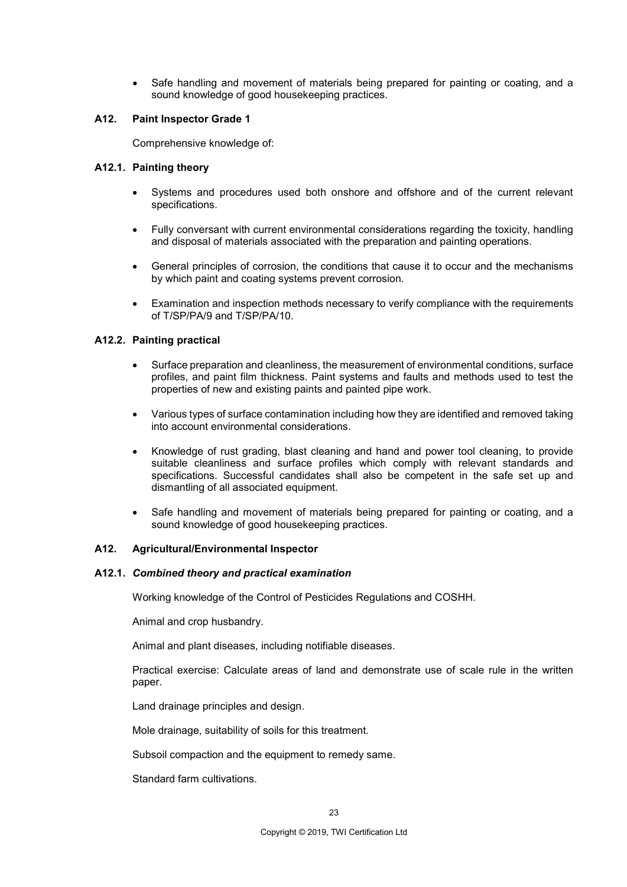• Safe handling and movement of materials being prepared for painting or coating, and a sound knowledge of good housekeeping practices.

#### **A12. Paint Inspector Grade 1**

Comprehensive knowledge of:

#### **A12.1. Painting theory**

- Systems and procedures used both onshore and offshore and of the current relevant specifications.
- Fully conversant with current environmental considerations regarding the toxicity, handling and disposal of materials associated with the preparation and painting operations.
- General principles of corrosion, the conditions that cause it to occur and the mechanisms by which paint and coating systems prevent corrosion.
- Examination and inspection methods necessary to verify compliance with the requirements of T/SP/PA/9 and T/SP/PA/10.

#### **A12.2. Painting practical**

- Surface preparation and cleanliness, the measurement of environmental conditions, surface profiles, and paint film thickness. Paint systems and faults and methods used to test the properties of new and existing paints and painted pipe work.
- Various types of surface contamination including how they are identified and removed taking into account environmental considerations.
- Knowledge of rust grading, blast cleaning and hand and power tool cleaning, to provide suitable cleanliness and surface profiles which comply with relevant standards and specifications. Successful candidates shall also be competent in the safe set up and dismantling of all associated equipment.
- Safe handling and movement of materials being prepared for painting or coating, and a sound knowledge of good housekeeping practices.

#### **A12. Agricultural/Environmental Inspector**

#### **A12.1.** *Combined theory and practical examination*

Working knowledge of the Control of Pesticides Regulations and COSHH.

Animal and crop husbandry.

Animal and plant diseases, including notifiable diseases.

Practical exercise: Calculate areas of land and demonstrate use of scale rule in the written paper.

Land drainage principles and design.

Mole drainage, suitability of soils for this treatment.

Subsoil compaction and the equipment to remedy same.

Standard farm cultivations.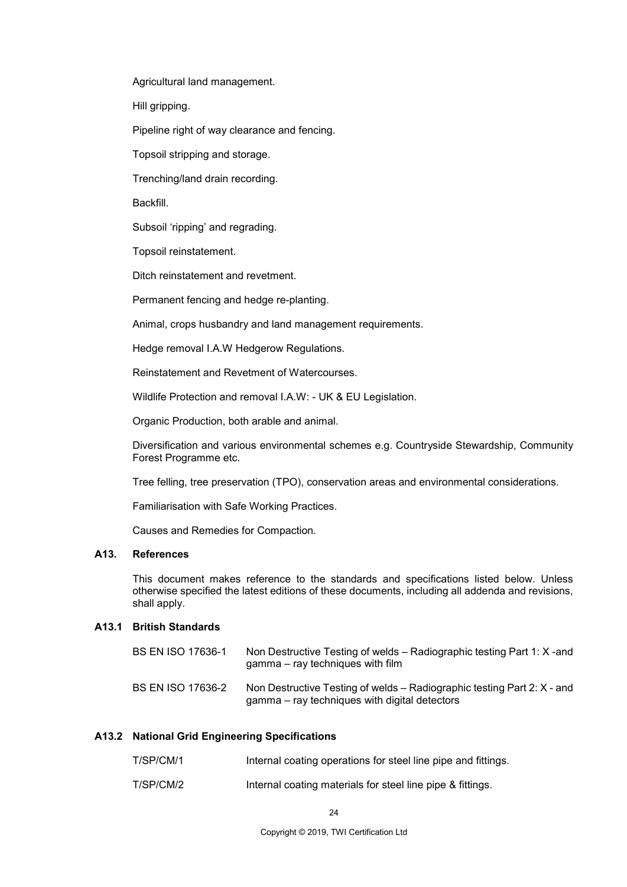Agricultural land management.

Hill gripping.

Pipeline right of way clearance and fencing.

Topsoil stripping and storage.

Trenching/land drain recording.

Backfill.

Subsoil 'ripping' and regrading.

Topsoil reinstatement.

Ditch reinstatement and revetment.

Permanent fencing and hedge re-planting.

Animal, crops husbandry and land management requirements.

Hedge removal I.A.W Hedgerow Regulations.

Reinstatement and Revetment of Watercourses.

Wildlife Protection and removal I.A.W: - UK & EU Legislation.

Organic Production, both arable and animal.

Diversification and various environmental schemes e.g. Countryside Stewardship, Community Forest Programme etc.

Tree felling, tree preservation (TPO), conservation areas and environmental considerations.

Familiarisation with Safe Working Practices.

Causes and Remedies for Compaction.

## **A13. References**

This document makes reference to the standards and specifications listed below. Unless otherwise specified the latest editions of these documents, including all addenda and revisions, shall apply.

#### **A13.1 British Standards**

| <b>BS EN ISO 17636-1</b> | Non Destructive Testing of welds – Radiographic testing Part 1: X-and<br>$gamma - ray$ techniques with film              |
|--------------------------|--------------------------------------------------------------------------------------------------------------------------|
| <b>BS EN ISO 17636-2</b> | Non Destructive Testing of welds – Radiographic testing Part 2: X - and<br>gamma – ray techniques with digital detectors |

#### **A13.2 National Grid Engineering Specifications**

| T/SP/CM/1 | Internal coating operations for steel line pipe and fittings. |
|-----------|---------------------------------------------------------------|
| T/SP/CM/2 | Internal coating materials for steel line pipe & fittings.    |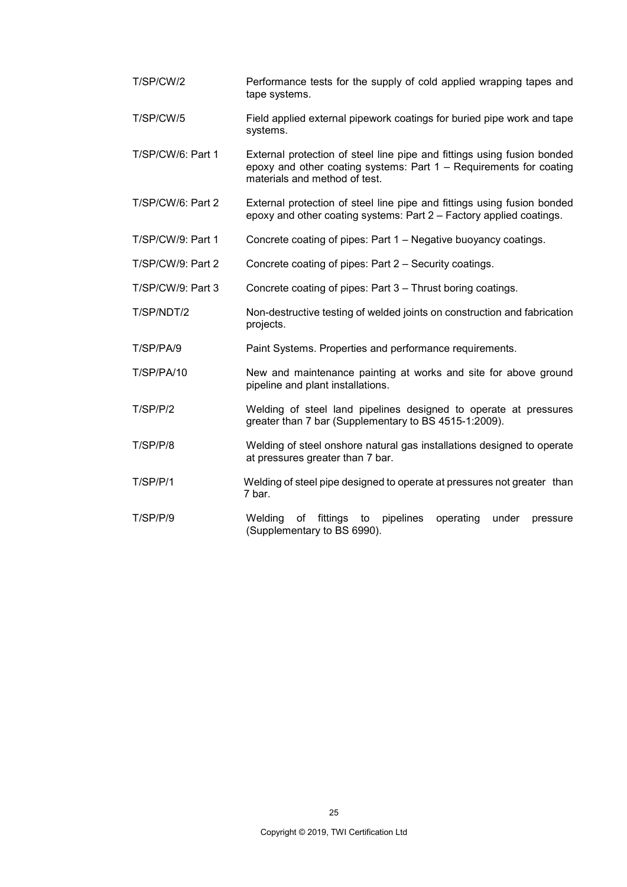| T/SP/CW/2         | Performance tests for the supply of cold applied wrapping tapes and<br>tape systems.                                                                                           |
|-------------------|--------------------------------------------------------------------------------------------------------------------------------------------------------------------------------|
| T/SP/CW/5         | Field applied external pipework coatings for buried pipe work and tape<br>systems.                                                                                             |
| T/SP/CW/6: Part 1 | External protection of steel line pipe and fittings using fusion bonded<br>epoxy and other coating systems: Part 1 - Requirements for coating<br>materials and method of test. |
| T/SP/CW/6: Part 2 | External protection of steel line pipe and fittings using fusion bonded<br>epoxy and other coating systems: Part 2 - Factory applied coatings.                                 |
| T/SP/CW/9: Part 1 | Concrete coating of pipes: Part 1 – Negative buoyancy coatings.                                                                                                                |
| T/SP/CW/9: Part 2 | Concrete coating of pipes: Part 2 - Security coatings.                                                                                                                         |
| T/SP/CW/9: Part 3 | Concrete coating of pipes: Part 3 - Thrust boring coatings.                                                                                                                    |
| T/SP/NDT/2        | Non-destructive testing of welded joints on construction and fabrication<br>projects.                                                                                          |
| T/SP/PA/9         | Paint Systems. Properties and performance requirements.                                                                                                                        |
| <b>T/SP/PA/10</b> | New and maintenance painting at works and site for above ground<br>pipeline and plant installations.                                                                           |
| T/SP/P/2          | Welding of steel land pipelines designed to operate at pressures<br>greater than 7 bar (Supplementary to BS 4515-1:2009).                                                      |
| T/SP/P/8          | Welding of steel onshore natural gas installations designed to operate<br>at pressures greater than 7 bar.                                                                     |
| T/SP/P/1          | Welding of steel pipe designed to operate at pressures not greater than<br>7 bar.                                                                                              |
| T/SP/P/9          | to pipelines<br>Welding<br>of<br>fittings<br>operating<br>under<br>pressure<br>(Supplementary to BS 6990).                                                                     |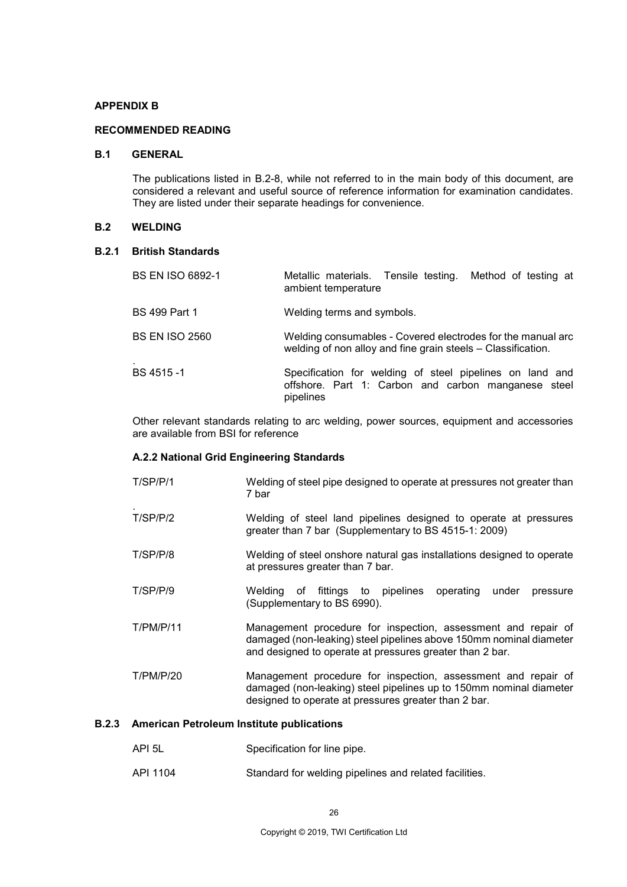#### **APPENDIX B**

#### **RECOMMENDED READING**

#### **B.1 GENERAL**

The publications listed in B.2-8, while not referred to in the main body of this document, are considered a relevant and useful source of reference information for examination candidates. They are listed under their separate headings for convenience.

#### **B.2 WELDING**

#### **B.2.1 British Standards**

| <b>BS EN ISO 6892-1</b> | Metallic materials. Tensile testing. Method of testing at<br>ambient temperature                                             |
|-------------------------|------------------------------------------------------------------------------------------------------------------------------|
| <b>BS 499 Part 1</b>    | Welding terms and symbols.                                                                                                   |
| <b>BS EN ISO 2560</b>   | Welding consumables - Covered electrodes for the manual arc<br>welding of non alloy and fine grain steels - Classification.  |
| BS 4515-1               | Specification for welding of steel pipelines on land and<br>offshore. Part 1: Carbon and carbon manganese steel<br>pipelines |

Other relevant standards relating to arc welding, power sources, equipment and accessories are available from BSI for reference

#### **A.2.2 National Grid Engineering Standards**

- T/SP/P/1 Welding of steel pipe designed to operate at pressures not greater than 7 bar **T/SP/P/2** Welding of steel land pipelines designed to operate at pressures greater than 7 bar (Supplementary to BS 4515-1: 2009) T/SP/P/8 Welding of steel onshore natural gas installations designed to operate at pressures greater than 7 bar. T/SP/P/9 Welding of fittings to pipelines operating under pressure (Supplementary to BS 6990). T/PM/P/11 Management procedure for inspection, assessment and repair of damaged (non-leaking) steel pipelines above 150mm nominal diameter and designed to operate at pressures greater than 2 bar.
- T/PM/P/20 Management procedure for inspection, assessment and repair of damaged (non-leaking) steel pipelines up to 150mm nominal diameter designed to operate at pressures greater than 2 bar.

#### **B.2.3 American Petroleum Institute publications**

- API 5L Specification for line pipe.
- API 1104 Standard for welding pipelines and related facilities.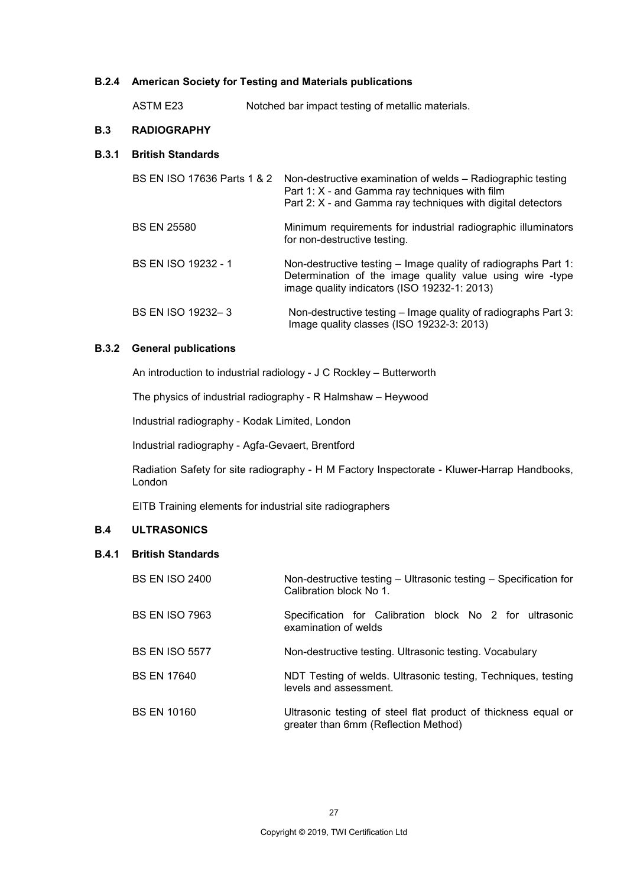#### **B.2.4 American Society for Testing and Materials publications**

ASTM E23 Notched bar impact testing of metallic materials.

#### **B.3 RADIOGRAPHY**

#### **B.3.1 British Standards**

|                            | BS EN ISO 17636 Parts 1 & 2 Non-destructive examination of welds - Radiographic testing<br>Part 1: X - and Gamma ray techniques with film<br>Part 2: X - and Gamma ray techniques with digital detectors |
|----------------------------|----------------------------------------------------------------------------------------------------------------------------------------------------------------------------------------------------------|
| <b>BS EN 25580</b>         | Minimum requirements for industrial radiographic illuminators<br>for non-destructive testing.                                                                                                            |
| <b>BS EN ISO 19232 - 1</b> | Non-destructive testing – Image quality of radiographs Part 1:<br>Determination of the image quality value using wire -type<br>image quality indicators (ISO 19232-1: 2013)                              |
| BS EN ISO 19232-3          | Non-destructive testing – Image quality of radiographs Part 3:<br>Image quality classes (ISO 19232-3: 2013)                                                                                              |

#### **B.3.2 General publications**

An introduction to industrial radiology - J C Rockley – Butterworth

The physics of industrial radiography - R Halmshaw – Heywood

Industrial radiography - Kodak Limited, London

Industrial radiography - Agfa-Gevaert, Brentford

Radiation Safety for site radiography - H M Factory Inspectorate - Kluwer-Harrap Handbooks, London

EITB Training elements for industrial site radiographers

### **B.4 ULTRASONICS**

## **B.4.1 British Standards**

| <b>BS EN ISO 2400</b> | Non-destructive testing – Ultrasonic testing – Specification for<br>Calibration block No 1.            |
|-----------------------|--------------------------------------------------------------------------------------------------------|
| <b>BS EN ISO 7963</b> | Specification for Calibration block No 2 for ultrasonic<br>examination of welds                        |
| <b>BS EN ISO 5577</b> | Non-destructive testing. Ultrasonic testing. Vocabulary                                                |
| <b>BS EN 17640</b>    | NDT Testing of welds. Ultrasonic testing, Techniques, testing<br>levels and assessment.                |
| <b>BS EN 10160</b>    | Ultrasonic testing of steel flat product of thickness equal or<br>greater than 6mm (Reflection Method) |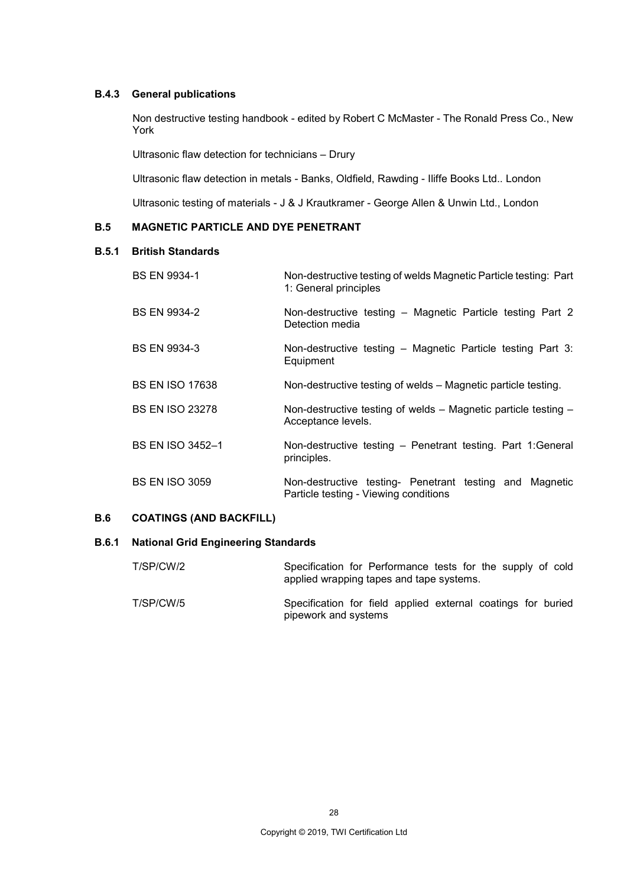#### **B.4.3 General publications**

Non destructive testing handbook - edited by Robert C McMaster - The Ronald Press Co., New York

Ultrasonic flaw detection for technicians – Drury

Ultrasonic flaw detection in metals - Banks, Oldfield, Rawding - Iliffe Books Ltd.. London

Ultrasonic testing of materials - J & J Krautkramer - George Allen & Unwin Ltd., London

## **B.5 MAGNETIC PARTICLE AND DYE PENETRANT**

#### **B.5.1 British Standards**

| <b>BS EN 9934-1</b>     | Non-destructive testing of welds Magnetic Particle testing: Part<br>1: General principles        |
|-------------------------|--------------------------------------------------------------------------------------------------|
| <b>BS EN 9934-2</b>     | Non-destructive testing - Magnetic Particle testing Part 2<br>Detection media                    |
| <b>BS EN 9934-3</b>     | Non-destructive testing – Magnetic Particle testing Part 3:<br>Equipment                         |
| <b>BS EN ISO 17638</b>  | Non-destructive testing of welds – Magnetic particle testing.                                    |
| <b>BS EN ISO 23278</b>  | Non-destructive testing of welds - Magnetic particle testing -<br>Acceptance levels.             |
| <b>BS EN ISO 3452-1</b> | Non-destructive testing - Penetrant testing. Part 1:General<br>principles.                       |
| <b>BS EN ISO 3059</b>   | Non-destructive testing- Penetrant testing and Magnetic<br>Particle testing - Viewing conditions |

## **B.6 COATINGS (AND BACKFILL)**

#### **B.6.1 National Grid Engineering Standards**

| T/SP/CW/2 | Specification for Performance tests for the supply of cold<br>applied wrapping tapes and tape systems. |
|-----------|--------------------------------------------------------------------------------------------------------|
| T/SP/CW/5 | Specification for field applied external coatings for buried<br>pipework and systems                   |